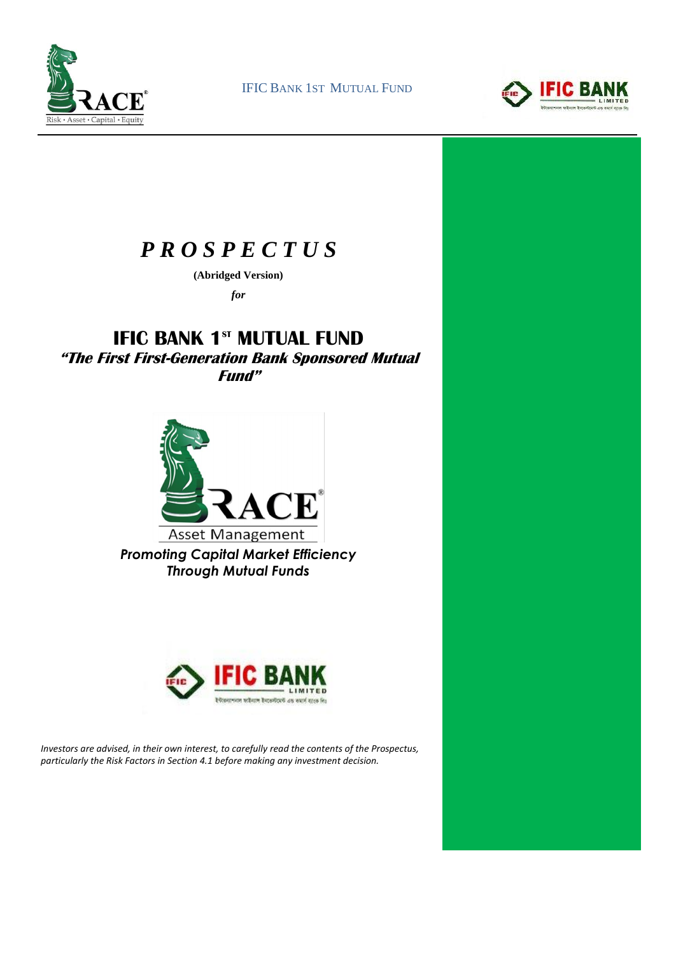

IFIC BANK 1ST MUTUAL FUND



# *P R O S P E C T U S*

**(Abridged Version)**

*for*

# **IFIC BANK 1<sup>st</sup> MUTUAL FUND**

**"The First First-Generation Bank Sponsored Mutual Fund"**



*Promoting Capital Market Efficiency Through Mutual Funds*



*Investors are advised, in their own interest, to carefully read the contents of the Prospectus, particularly the Risk Factors in Section 4.1 before making any investment decision.*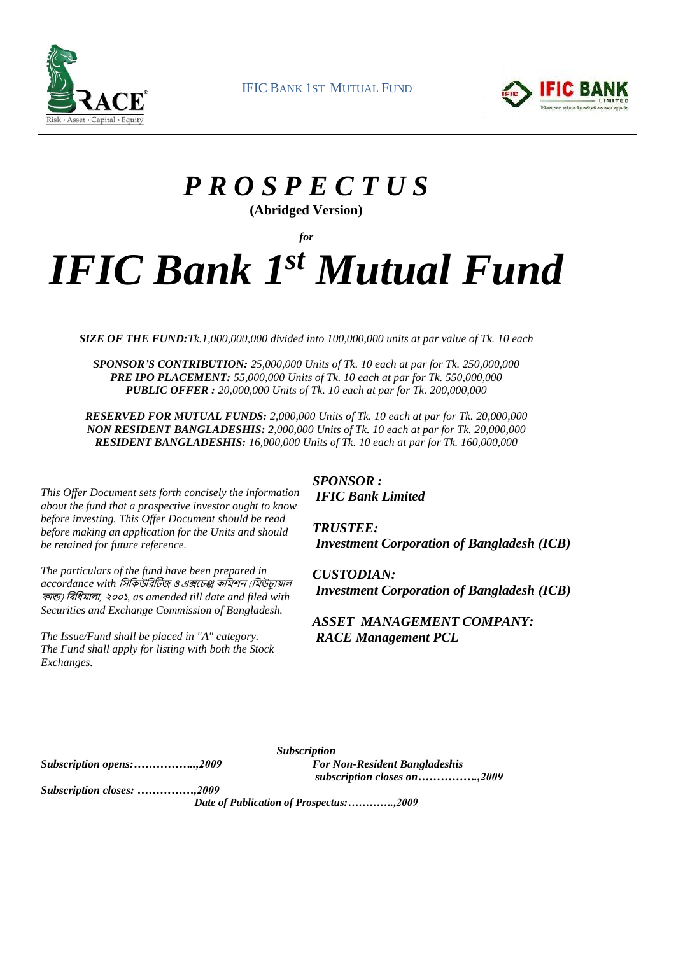



# *P R O S P E C T U S*  **(Abridged Version)**

*for*

# *IFIC Bank 1 st Mutual Fund*

*SIZE OF THE FUND:Tk.1,000,000,000 divided into 100,000,000 units at par value of Tk. 10 each*

*SPONSOR'S CONTRIBUTION: 25,000,000 Units of Tk. 10 each at par for Tk. 250,000,000 PRE IPO PLACEMENT: 55,000,000 Units of Tk. 10 each at par for Tk. 550,000,000 PUBLIC OFFER : 20,000,000 Units of Tk. 10 each at par for Tk. 200,000,000*

*RESERVED FOR MUTUAL FUNDS: 2,000,000 Units of Tk. 10 each at par for Tk. 20,000,000 NON RESIDENT BANGLADESHIS: 2,000,000 Units of Tk. 10 each at par for Tk. 20,000,000 RESIDENT BANGLADESHIS: 16,000,000 Units of Tk. 10 each at par for Tk. 160,000,000*

*This Offer Document sets forth concisely the information about the fund that a prospective investor ought to know before investing. This Offer Document should be read before making an application for the Units and should be retained for future reference.*

*The particulars of the fund have been prepared in accordance with* সিসিউসিটিজ ও এক্সচেঞ্জ িসিশন (সিউেযুয়াল ফান্ড) সিসিিালা, ২০০১*, as amended till date and filed with Securities and Exchange Commission of Bangladesh.*

*The Issue/Fund shall be placed in "A" category. The Fund shall apply for listing with both the Stock Exchanges.*

*SPONSOR : IFIC Bank Limited*

*TRUSTEE: Investment Corporation of Bangladesh (ICB)*

*CUSTODIAN: Investment Corporation of Bangladesh (ICB)*

*ASSET MANAGEMENT COMPANY: RACE Management PCL*

*Subscription opens:……………..,2009*

*Subscription For Non-Resident Bangladeshis subscription closes on…………….,2009*

*Subscription closes: ……………,2009*

*Date of Publication of Prospectus:………….,2009*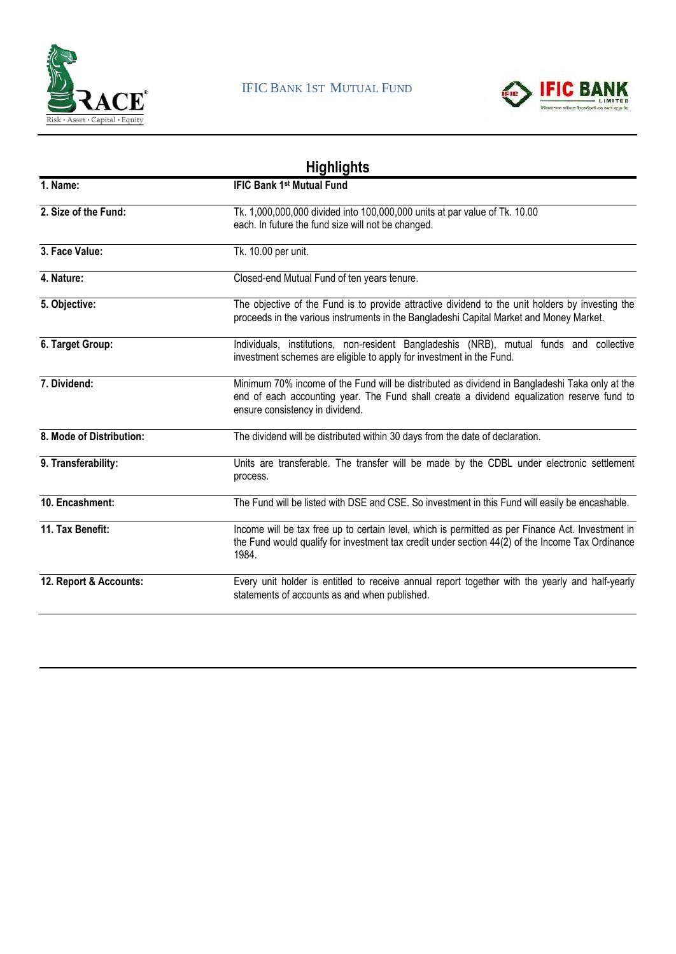



|                          | <b>Highlights</b>                                                                                                                                                                                                               |
|--------------------------|---------------------------------------------------------------------------------------------------------------------------------------------------------------------------------------------------------------------------------|
| 1. Name:                 | <b>IFIC Bank 1st Mutual Fund</b>                                                                                                                                                                                                |
| 2. Size of the Fund:     | Tk. 1,000,000,000 divided into 100,000,000 units at par value of Tk. 10.00<br>each. In future the fund size will not be changed.                                                                                                |
| 3. Face Value:           | Tk. 10.00 per unit.                                                                                                                                                                                                             |
| 4. Nature:               | Closed-end Mutual Fund of ten years tenure.                                                                                                                                                                                     |
| 5. Objective:            | The objective of the Fund is to provide attractive dividend to the unit holders by investing the<br>proceeds in the various instruments in the Bangladeshi Capital Market and Money Market.                                     |
| 6. Target Group:         | Individuals, institutions, non-resident Bangladeshis (NRB), mutual funds and collective<br>investment schemes are eligible to apply for investment in the Fund.                                                                 |
| 7. Dividend:             | Minimum 70% income of the Fund will be distributed as dividend in Bangladeshi Taka only at the<br>end of each accounting year. The Fund shall create a dividend equalization reserve fund to<br>ensure consistency in dividend. |
| 8. Mode of Distribution: | The dividend will be distributed within 30 days from the date of declaration.                                                                                                                                                   |
| 9. Transferability:      | Units are transferable. The transfer will be made by the CDBL under electronic settlement<br>process.                                                                                                                           |
| 10. Encashment:          | The Fund will be listed with DSE and CSE. So investment in this Fund will easily be encashable.                                                                                                                                 |
| 11. Tax Benefit:         | Income will be tax free up to certain level, which is permitted as per Finance Act. Investment in<br>the Fund would qualify for investment tax credit under section 44(2) of the Income Tax Ordinance<br>1984.                  |
| 12. Report & Accounts:   | Every unit holder is entitled to receive annual report together with the yearly and half-yearly<br>statements of accounts as and when published.                                                                                |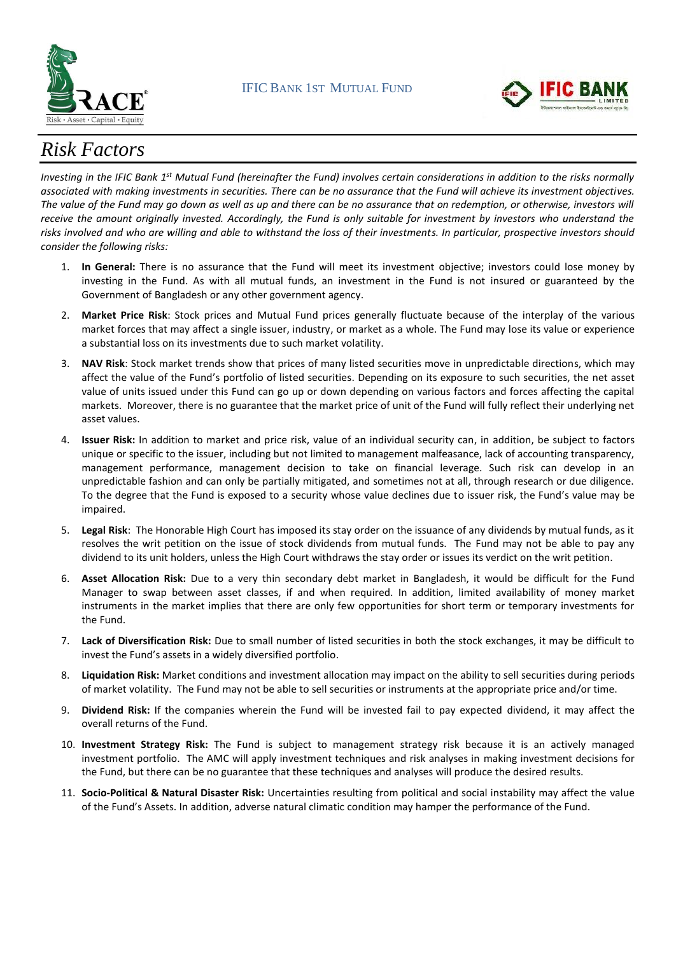



# *Risk Factors*

Investing in the IFIC Bank 1<sup>st</sup> Mutual Fund (hereinafter the Fund) involves certain considerations in addition to the risks normally *associated with making investments in securities. There can be no assurance that the Fund will achieve its investment objectives. The value of the Fund may go down as well as up and there can be no assurance that on redemption, or otherwise, investors will receive the amount originally invested. Accordingly, the Fund is only suitable for investment by investors who understand the risks involved and who are willing and able to withstand the loss of their investments. In particular, prospective investors should consider the following risks:* 

- 1. **In General:** There is no assurance that the Fund will meet its investment objective; investors could lose money by investing in the Fund. As with all mutual funds, an investment in the Fund is not insured or guaranteed by the Government of Bangladesh or any other government agency.
- 2. **Market Price Risk**: Stock prices and Mutual Fund prices generally fluctuate because of the interplay of the various market forces that may affect a single issuer, industry, or market as a whole. The Fund may lose its value or experience a substantial loss on its investments due to such market volatility.
- 3. **NAV Risk**: Stock market trends show that prices of many listed securities move in unpredictable directions, which may affect the value of the Fund's portfolio of listed securities. Depending on its exposure to such securities, the net asset value of units issued under this Fund can go up or down depending on various factors and forces affecting the capital markets. Moreover, there is no guarantee that the market price of unit of the Fund will fully reflect their underlying net asset values.
- 4. **Issuer Risk:** In addition to market and price risk, value of an individual security can, in addition, be subject to factors unique or specific to the issuer, including but not limited to management malfeasance, lack of accounting transparency, management performance, management decision to take on financial leverage. Such risk can develop in an unpredictable fashion and can only be partially mitigated, and sometimes not at all, through research or due diligence. To the degree that the Fund is exposed to a security whose value declines due to issuer risk, the Fund's value may be impaired.
- 5. **Legal Risk**: The Honorable High Court has imposed its stay order on the issuance of any dividends by mutual funds, as it resolves the writ petition on the issue of stock dividends from mutual funds. The Fund may not be able to pay any dividend to its unit holders, unless the High Court withdraws the stay order or issues its verdict on the writ petition.
- 6. **Asset Allocation Risk:** Due to a very thin secondary debt market in Bangladesh, it would be difficult for the Fund Manager to swap between asset classes, if and when required. In addition, limited availability of money market instruments in the market implies that there are only few opportunities for short term or temporary investments for the Fund.
- 7. **Lack of Diversification Risk:** Due to small number of listed securities in both the stock exchanges, it may be difficult to invest the Fund's assets in a widely diversified portfolio.
- 8. **Liquidation Risk:** Market conditions and investment allocation may impact on the ability to sell securities during periods of market volatility. The Fund may not be able to sell securities or instruments at the appropriate price and/or time.
- 9. **Dividend Risk:** If the companies wherein the Fund will be invested fail to pay expected dividend, it may affect the overall returns of the Fund.
- 10. **Investment Strategy Risk:** The Fund is subject to management strategy risk because it is an actively managed investment portfolio. The AMC will apply investment techniques and risk analyses in making investment decisions for the Fund, but there can be no guarantee that these techniques and analyses will produce the desired results.
- 11. **Socio-Political & Natural Disaster Risk:** Uncertainties resulting from political and social instability may affect the value of the Fund's Assets. In addition, adverse natural climatic condition may hamper the performance of the Fund.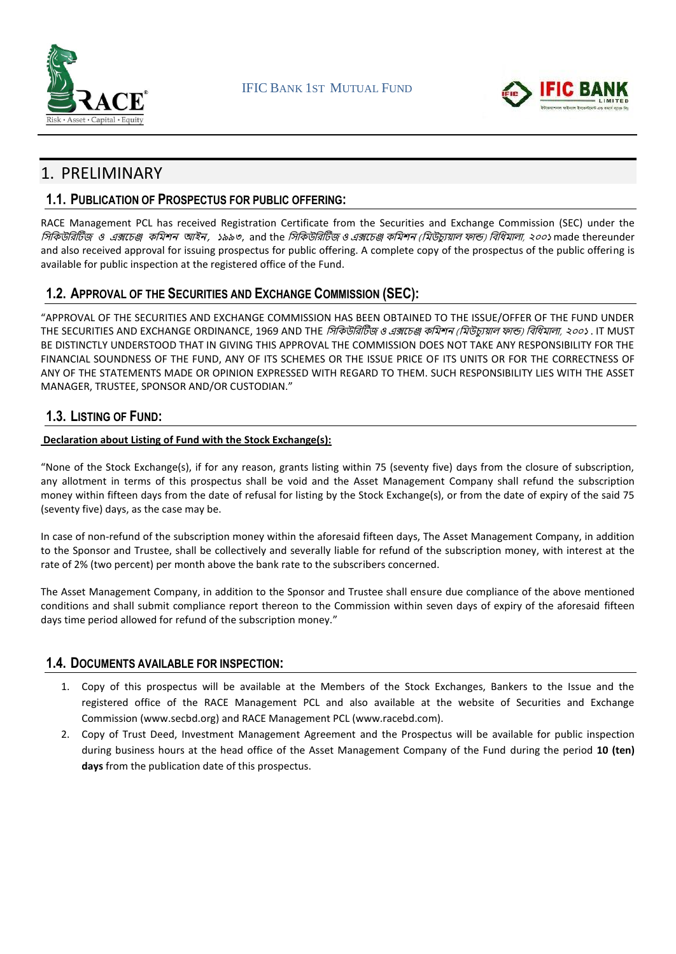



# 1. PRELIMINARY

### **1.1. PUBLICATION OF PROSPECTUS FOR PUBLIC OFFERING:**

RACE Management PCL has received Registration Certificate from the Securities and Exchange Commission (SEC) under the সিসিউসিটিজ <sup>ও</sup> এক্সচেঞ্জ িসিশন আইন*,* ১৯৯৩, and the সিসিউসিটিজ ও এক্সচেঞ্জ িসিশন (সিউেযুয়াল ফান্ড) সিসিিালা, ২০০১ made thereunder and also received approval for issuing prospectus for public offering. A complete copy of the prospectus of the public offering is available for public inspection at the registered office of the Fund.

### **1.2. APPROVAL OF THE SECURITIES AND EXCHANGE COMMISSION (SEC):**

"APPROVAL OF THE SECURITIES AND EXCHANGE COMMISSION HAS BEEN OBTAINED TO THE ISSUE/OFFER OF THE FUND UNDER THE SECURITIES AND EXCHANGE ORDINANCE, 1969 AND THE *সিকিউরিটিজ ও এক্সচেঞ্জ কমিশন (মিউচায়াল ফান্ড) বিধিমালা, ২০০১* . IT MUST BE DISTINCTLY UNDERSTOOD THAT IN GIVING THIS APPROVAL THE COMMISSION DOES NOT TAKE ANY RESPONSIBILITY FOR THE FINANCIAL SOUNDNESS OF THE FUND, ANY OF ITS SCHEMES OR THE ISSUE PRICE OF ITS UNITS OR FOR THE CORRECTNESS OF ANY OF THE STATEMENTS MADE OR OPINION EXPRESSED WITH REGARD TO THEM. SUCH RESPONSIBILITY LIES WITH THE ASSET MANAGER, TRUSTEE, SPONSOR AND/OR CUSTODIAN."

### **1.3. LISTING OF FUND:**

### **Declaration about Listing of Fund with the Stock Exchange(s):**

"None of the Stock Exchange(s), if for any reason, grants listing within 75 (seventy five) days from the closure of subscription, any allotment in terms of this prospectus shall be void and the Asset Management Company shall refund the subscription money within fifteen days from the date of refusal for listing by the Stock Exchange(s), or from the date of expiry of the said 75 (seventy five) days, as the case may be.

In case of non-refund of the subscription money within the aforesaid fifteen days, The Asset Management Company, in addition to the Sponsor and Trustee, shall be collectively and severally liable for refund of the subscription money, with interest at the rate of 2% (two percent) per month above the bank rate to the subscribers concerned.

The Asset Management Company, in addition to the Sponsor and Trustee shall ensure due compliance of the above mentioned conditions and shall submit compliance report thereon to the Commission within seven days of expiry of the aforesaid fifteen days time period allowed for refund of the subscription money."

### **1.4. DOCUMENTS AVAILABLE FOR INSPECTION:**

- 1. Copy of this prospectus will be available at the Members of the Stock Exchanges, Bankers to the Issue and the registered office of the RACE Management PCL and also available at the website of Securities and Exchange Commission (www.secbd.org) and RACE Management PCL (www.racebd.com).
- 2. Copy of Trust Deed, Investment Management Agreement and the Prospectus will be available for public inspection during business hours at the head office of the Asset Management Company of the Fund during the period **10 (ten) days** from the publication date of this prospectus.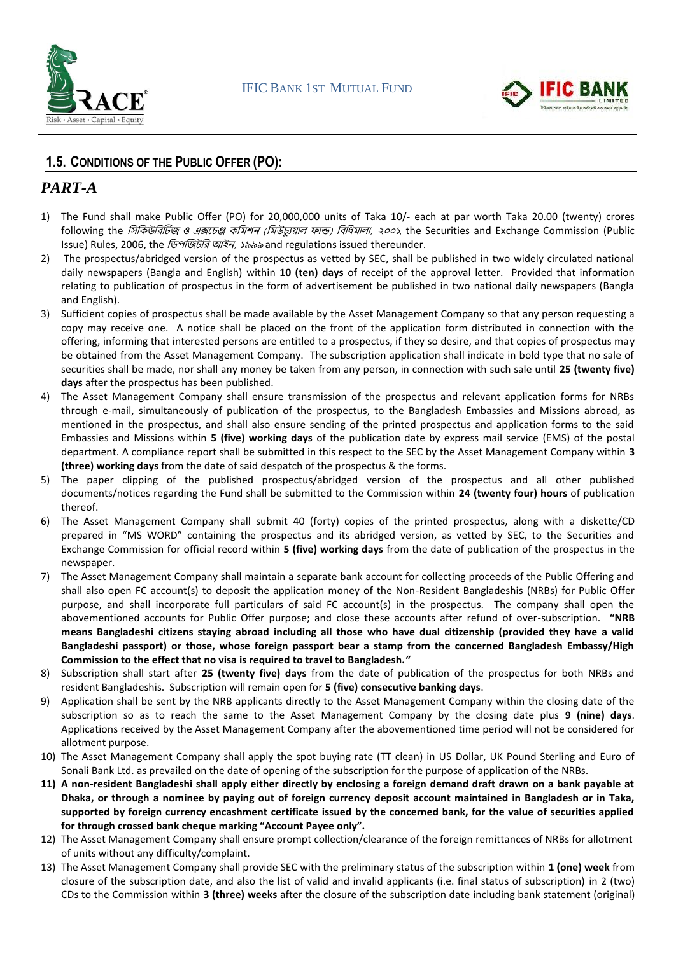



### **1.5. CONDITIONS OF THE PUBLIC OFFER (PO):**

### *PART-A*

- 1) The Fund shall make Public Offer (PO) for 20,000,000 units of Taka 10/- each at par worth Taka 20.00 (twenty) crores following the *সিকিউরিটিজ ও এক্সচেঞ্জ কমিশন (মিউচ্যুয়াল ফান্ড) বিধিমালা, ২০০১*, the Securities and Exchange Commission (Public Issue) Rules, 2006, the *ডিপজিটরি আইন, ১৯৯৯* and regulations issued thereunder.
- 2) The prospectus/abridged version of the prospectus as vetted by SEC, shall be published in two widely circulated national daily newspapers (Bangla and English) within **10 (ten) days** of receipt of the approval letter. Provided that information relating to publication of prospectus in the form of advertisement be published in two national daily newspapers (Bangla and English).
- 3) Sufficient copies of prospectus shall be made available by the Asset Management Company so that any person requesting a copy may receive one. A notice shall be placed on the front of the application form distributed in connection with the offering, informing that interested persons are entitled to a prospectus, if they so desire, and that copies of prospectus may be obtained from the Asset Management Company. The subscription application shall indicate in bold type that no sale of securities shall be made, nor shall any money be taken from any person, in connection with such sale until **25 (twenty five) days** after the prospectus has been published.
- 4) The Asset Management Company shall ensure transmission of the prospectus and relevant application forms for NRBs through e-mail, simultaneously of publication of the prospectus, to the Bangladesh Embassies and Missions abroad, as mentioned in the prospectus, and shall also ensure sending of the printed prospectus and application forms to the said Embassies and Missions within **5 (five) working days** of the publication date by express mail service (EMS) of the postal department. A compliance report shall be submitted in this respect to the SEC by the Asset Management Company within **3 (three) working days** from the date of said despatch of the prospectus & the forms.
- 5) The paper clipping of the published prospectus/abridged version of the prospectus and all other published documents/notices regarding the Fund shall be submitted to the Commission within **24 (twenty four) hours** of publication thereof.
- 6) The Asset Management Company shall submit 40 (forty) copies of the printed prospectus, along with a diskette/CD prepared in "MS WORD" containing the prospectus and its abridged version, as vetted by SEC, to the Securities and Exchange Commission for official record within **5 (five) working days** from the date of publication of the prospectus in the newspaper.
- 7) The Asset Management Company shall maintain a separate bank account for collecting proceeds of the Public Offering and shall also open FC account(s) to deposit the application money of the Non-Resident Bangladeshis (NRBs) for Public Offer purpose, and shall incorporate full particulars of said FC account(s) in the prospectus. The company shall open the abovementioned accounts for Public Offer purpose; and close these accounts after refund of over-subscription. **"NRB means Bangladeshi citizens staying abroad including all those who have dual citizenship (provided they have a valid Bangladeshi passport) or those, whose foreign passport bear a stamp from the concerned Bangladesh Embassy/High Commission to the effect that no visa is required to travel to Bangladesh.***"*
- 8) Subscription shall start after **25 (twenty five) days** from the date of publication of the prospectus for both NRBs and resident Bangladeshis. Subscription will remain open for **5 (five) consecutive banking days**.
- 9) Application shall be sent by the NRB applicants directly to the Asset Management Company within the closing date of the subscription so as to reach the same to the Asset Management Company by the closing date plus **9 (nine) days**. Applications received by the Asset Management Company after the abovementioned time period will not be considered for allotment purpose.
- 10) The Asset Management Company shall apply the spot buying rate (TT clean) in US Dollar, UK Pound Sterling and Euro of Sonali Bank Ltd. as prevailed on the date of opening of the subscription for the purpose of application of the NRBs.
- **11) A non-resident Bangladeshi shall apply either directly by enclosing a foreign demand draft drawn on a bank payable at Dhaka, or through a nominee by paying out of foreign currency deposit account maintained in Bangladesh or in Taka, supported by foreign currency encashment certificate issued by the concerned bank, for the value of securities applied for through crossed bank cheque marking "Account Payee only".**
- 12) The Asset Management Company shall ensure prompt collection/clearance of the foreign remittances of NRBs for allotment of units without any difficulty/complaint.
- 13) The Asset Management Company shall provide SEC with the preliminary status of the subscription within **1 (one) week** from closure of the subscription date, and also the list of valid and invalid applicants (i.e. final status of subscription) in 2 (two) CDs to the Commission within **3 (three) weeks** after the closure of the subscription date including bank statement (original)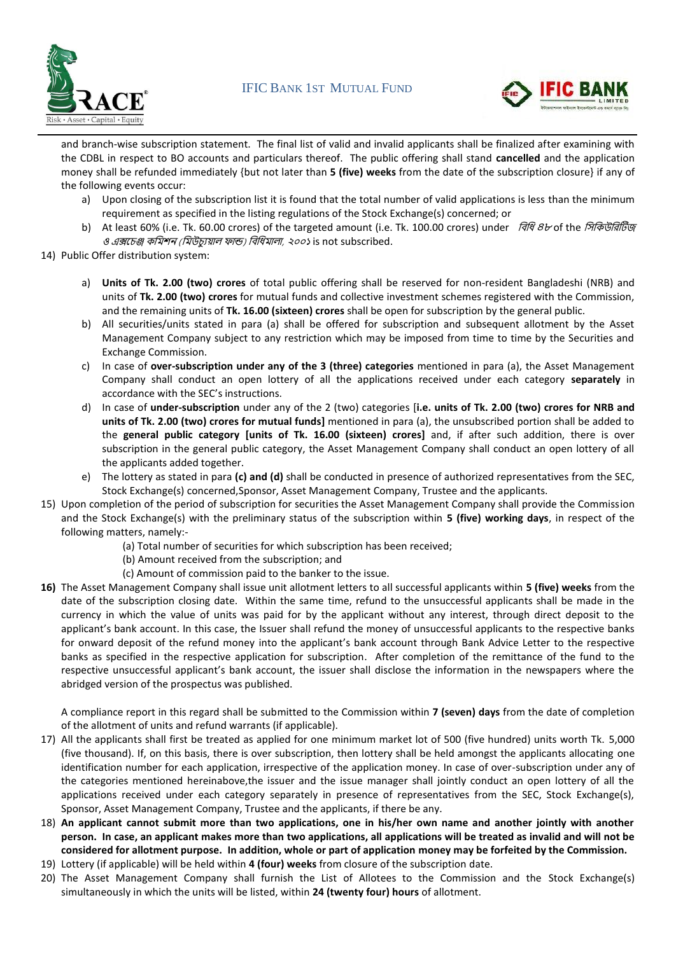



and branch-wise subscription statement. The final list of valid and invalid applicants shall be finalized after examining with the CDBL in respect to BO accounts and particulars thereof. The public offering shall stand **cancelled** and the application money shall be refunded immediately {but not later than **5 (five) weeks** from the date of the subscription closure} if any of the following events occur:

- a) Upon closing of the subscription list it is found that the total number of valid applications is less than the minimum requirement as specified in the listing regulations of the Stock Exchange(s) concerned; or
- b) At least 60% (i.e. Tk. 60.00 crores) of the targeted amount (i.e. Tk. 100.00 crores) under *বিধি 8৮* of the *সিকিউরিটিজ* ও এক্সচেঞ্জ কমিশন (মিউচ্যুয়াল ফান্ড) বিধিমালা, ২০০১ is not subscribed.
- 14) Public Offer distribution system:
	- a) **Units of Tk. 2.00 (two) crores** of total public offering shall be reserved for non-resident Bangladeshi (NRB) and units of **Tk. 2.00 (two) crores** for mutual funds and collective investment schemes registered with the Commission, and the remaining units of **Tk. 16.00 (sixteen) crores** shall be open for subscription by the general public.
	- b) All securities/units stated in para (a) shall be offered for subscription and subsequent allotment by the Asset Management Company subject to any restriction which may be imposed from time to time by the Securities and Exchange Commission.
	- c) In case of **over-subscription under any of the 3 (three) categories** mentioned in para (a), the Asset Management Company shall conduct an open lottery of all the applications received under each category **separately** in accordance with the SEC's instructions.
	- d) In case of **under-subscription** under any of the 2 (two) categories [**i.e. units of Tk. 2.00 (two) crores for NRB and units of Tk. 2.00 (two) crores for mutual funds]** mentioned in para (a), the unsubscribed portion shall be added to the **general public category [units of Tk. 16.00 (sixteen) crores]** and, if after such addition, there is over subscription in the general public category, the Asset Management Company shall conduct an open lottery of all the applicants added together.
	- e) The lottery as stated in para **(c) and (d)** shall be conducted in presence of authorized representatives from the SEC, Stock Exchange(s) concerned,Sponsor, Asset Management Company, Trustee and the applicants.
- 15) Upon completion of the period of subscription for securities the Asset Management Company shall provide the Commission and the Stock Exchange(s) with the preliminary status of the subscription within **5 (five) working days**, in respect of the following matters, namely:-
	- (a) Total number of securities for which subscription has been received;
	- (b) Amount received from the subscription; and
	- (c) Amount of commission paid to the banker to the issue.
- **16)** The Asset Management Company shall issue unit allotment letters to all successful applicants within **5 (five) weeks** from the date of the subscription closing date. Within the same time, refund to the unsuccessful applicants shall be made in the currency in which the value of units was paid for by the applicant without any interest, through direct deposit to the applicant's bank account. In this case, the Issuer shall refund the money of unsuccessful applicants to the respective banks for onward deposit of the refund money into the applicant's bank account through Bank Advice Letter to the respective banks as specified in the respective application for subscription. After completion of the remittance of the fund to the respective unsuccessful applicant's bank account, the issuer shall disclose the information in the newspapers where the abridged version of the prospectus was published.

A compliance report in this regard shall be submitted to the Commission within **7 (seven) days** from the date of completion of the allotment of units and refund warrants (if applicable).

- 17) All the applicants shall first be treated as applied for one minimum market lot of 500 (five hundred) units worth Tk. 5,000 (five thousand). If, on this basis, there is over subscription, then lottery shall be held amongst the applicants allocating one identification number for each application, irrespective of the application money. In case of over-subscription under any of the categories mentioned hereinabove,the issuer and the issue manager shall jointly conduct an open lottery of all the applications received under each category separately in presence of representatives from the SEC, Stock Exchange(s), Sponsor, Asset Management Company, Trustee and the applicants, if there be any.
- 18) **An applicant cannot submit more than two applications, one in his/her own name and another jointly with another person. In case, an applicant makes more than two applications, all applications will be treated as invalid and will not be considered for allotment purpose. In addition, whole or part of application money may be forfeited by the Commission.**
- 19) Lottery (if applicable) will be held within **4 (four) weeks** from closure of the subscription date.
- 20) The Asset Management Company shall furnish the List of Allotees to the Commission and the Stock Exchange(s) simultaneously in which the units will be listed, within **24 (twenty four) hours** of allotment.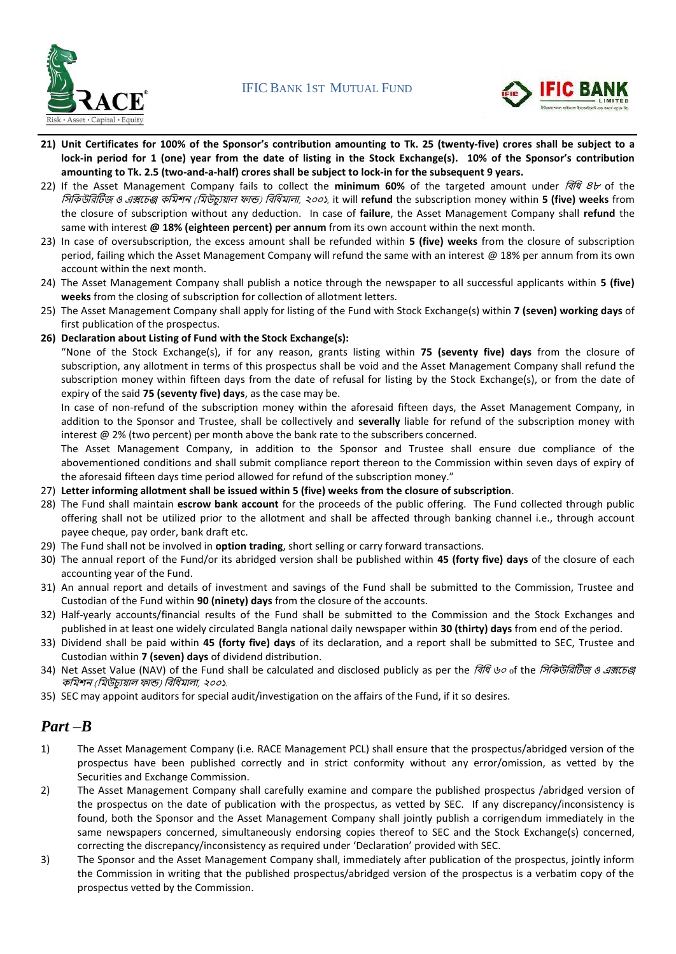



- **21) Unit Certificates for 100% of the Sponsor's contribution amounting to Tk. 25 (twenty-five) crores shall be subject to a lock-in period for 1 (one) year from the date of listing in the Stock Exchange(s). 10% of the Sponsor's contribution amounting to Tk. 2.5 (two-and-a-half) crores shall be subject to lock-in for the subsequent 9 years.**
- 22) If the Asset Management Company fails to collect the **minimum 60%** of the targeted amount under সিসি <sup>৪৮</sup> of the সিসিউসিটিজ ও এক্সচেঞ্জ িসিশন (সিউেযুয়াল ফান্ড) সিসিিালা, ২০০১, it will **refund** the subscription money within **5 (five) weeks** from the closure of subscription without any deduction. In case of **failure**, the Asset Management Company shall **refund** the same with interest **@ 18% (eighteen percent) per annum** from its own account within the next month.
- 23) In case of oversubscription, the excess amount shall be refunded within **5 (five) weeks** from the closure of subscription period, failing which the Asset Management Company will refund the same with an interest @ 18% per annum from its own account within the next month.
- 24) The Asset Management Company shall publish a notice through the newspaper to all successful applicants within **5 (five) weeks** from the closing of subscription for collection of allotment letters.
- 25) The Asset Management Company shall apply for listing of the Fund with Stock Exchange(s) within **7 (seven) working days** of first publication of the prospectus.
- **26) Declaration about Listing of Fund with the Stock Exchange(s):**

"None of the Stock Exchange(s), if for any reason, grants listing within **75 (seventy five) days** from the closure of subscription, any allotment in terms of this prospectus shall be void and the Asset Management Company shall refund the subscription money within fifteen days from the date of refusal for listing by the Stock Exchange(s), or from the date of expiry of the said **75 (seventy five) days**, as the case may be.

In case of non-refund of the subscription money within the aforesaid fifteen days, the Asset Management Company, in addition to the Sponsor and Trustee, shall be collectively and **severally** liable for refund of the subscription money with interest @ 2% (two percent) per month above the bank rate to the subscribers concerned.

The Asset Management Company, in addition to the Sponsor and Trustee shall ensure due compliance of the abovementioned conditions and shall submit compliance report thereon to the Commission within seven days of expiry of the aforesaid fifteen days time period allowed for refund of the subscription money."

- 27) **Letter informing allotment shall be issued within 5 (five) weeks from the closure of subscription**.
- 28) The Fund shall maintain **escrow bank account** for the proceeds of the public offering. The Fund collected through public offering shall not be utilized prior to the allotment and shall be affected through banking channel i.e., through account payee cheque, pay order, bank draft etc.
- 29) The Fund shall not be involved in **option trading**, short selling or carry forward transactions.
- 30) The annual report of the Fund/or its abridged version shall be published within **45 (forty five) days** of the closure of each accounting year of the Fund.
- 31) An annual report and details of investment and savings of the Fund shall be submitted to the Commission, Trustee and Custodian of the Fund within **90 (ninety) days** from the closure of the accounts.
- 32) Half-yearly accounts/financial results of the Fund shall be submitted to the Commission and the Stock Exchanges and published in at least one widely circulated Bangla national daily newspaper within **30 (thirty) days** from end of the period.
- 33) Dividend shall be paid within **45 (forty five) days** of its declaration, and a report shall be submitted to SEC, Trustee and Custodian within **7 (seven) days** of dividend distribution.
- 34) Net Asset Value (NAV) of the Fund shall be calculated and disclosed publicly as per the সিসি <sup>৬০</sup> of the সিসিউসিটিজ ও এক্সচেঞ্জ িসিশন (সিউেযুয়াল ফান্ড) সিসিিালা, ২০০১.
- 35) SEC may appoint auditors for special audit/investigation on the affairs of the Fund, if it so desires.

### *Part –B*

- 1) The Asset Management Company (i.e. RACE Management PCL) shall ensure that the prospectus/abridged version of the prospectus have been published correctly and in strict conformity without any error/omission, as vetted by the Securities and Exchange Commission.
- 2) The Asset Management Company shall carefully examine and compare the published prospectus /abridged version of the prospectus on the date of publication with the prospectus, as vetted by SEC. If any discrepancy/inconsistency is found, both the Sponsor and the Asset Management Company shall jointly publish a corrigendum immediately in the same newspapers concerned, simultaneously endorsing copies thereof to SEC and the Stock Exchange(s) concerned, correcting the discrepancy/inconsistency as required under 'Declaration' provided with SEC.
- 3) The Sponsor and the Asset Management Company shall, immediately after publication of the prospectus, jointly inform the Commission in writing that the published prospectus/abridged version of the prospectus is a verbatim copy of the prospectus vetted by the Commission.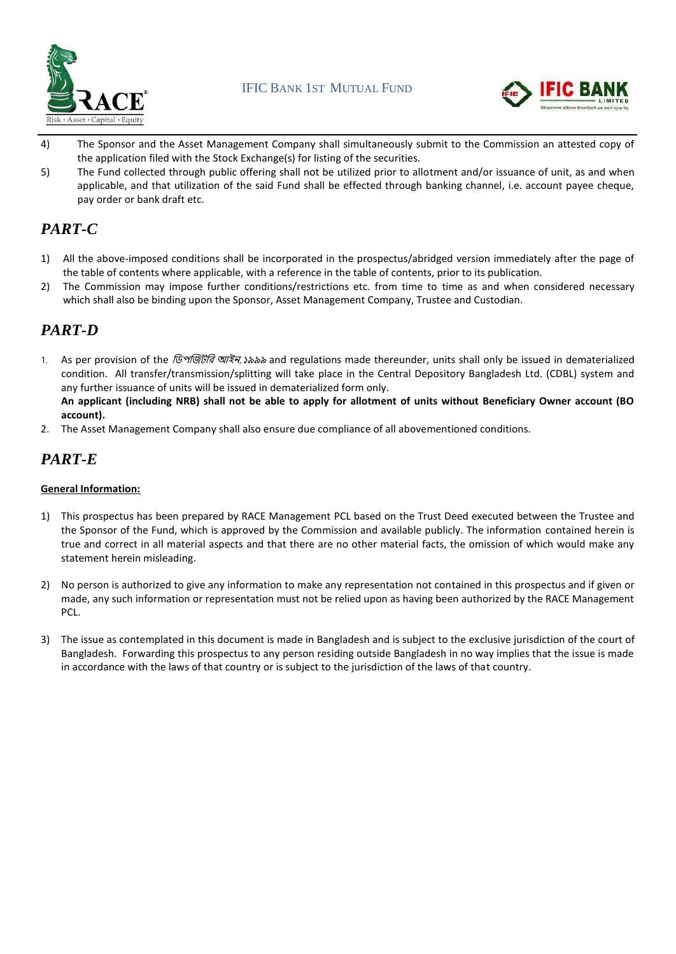



- 4) The Sponsor and the Asset Management Company shall simultaneously submit to the Commission an attested copy of the application filed with the Stock Exchange(s) for listing of the securities.
- 5) The Fund collected through public offering shall not be utilized prior to allotment and/or issuance of unit, as and when applicable, and that utilization of the said Fund shall be effected through banking channel, i.e. account payee cheque, pay order or bank draft etc.

## *PART-C*

- 1) All the above-imposed conditions shall be incorporated in the prospectus/abridged version immediately after the page of the table of contents where applicable, with a reference in the table of contents, prior to its publication.
- 2) The Commission may impose further conditions/restrictions etc. from time to time as and when considered necessary which shall also be binding upon the Sponsor, Asset Management Company, Trustee and Custodian.

### *PART-D*

1. As per provision of the সিপজজিসি আইন,১৯৯৯ and regulations made thereunder, units shall only be issued in dematerialized condition. All transfer/transmission/splitting will take place in the Central Depository Bangladesh Ltd. (CDBL) system and any further issuance of units will be issued in dematerialized form only.

**An applicant (including NRB) shall not be able to apply for allotment of units without Beneficiary Owner account (BO account).** 

2. The Asset Management Company shall also ensure due compliance of all abovementioned conditions.

# *PART-E*

### **General Information:**

- 1) This prospectus has been prepared by RACE Management PCL based on the Trust Deed executed between the Trustee and the Sponsor of the Fund, which is approved by the Commission and available publicly. The information contained herein is true and correct in all material aspects and that there are no other material facts, the omission of which would make any statement herein misleading.
- 2) No person is authorized to give any information to make any representation not contained in this prospectus and if given or made, any such information or representation must not be relied upon as having been authorized by the RACE Management PCL.
- 3) The issue as contemplated in this document is made in Bangladesh and is subject to the exclusive jurisdiction of the court of Bangladesh. Forwarding this prospectus to any person residing outside Bangladesh in no way implies that the issue is made in accordance with the laws of that country or is subject to the jurisdiction of the laws of that country.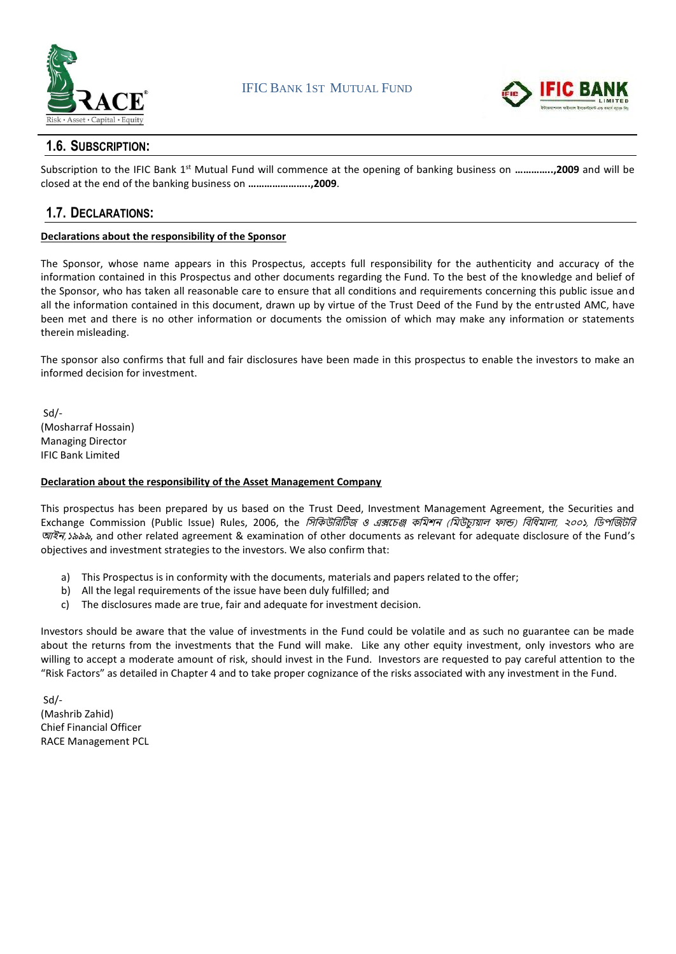



### **1.6. SUBSCRIPTION:**

Subscription to the IFIC Bank 1<sup>st</sup> Mutual Fund will commence at the opening of banking business on ..............,2009 and will be closed at the end of the banking business on **…………………..,2009**.

### **1.7. DECLARATIONS:**

### **Declarations about the responsibility of the Sponsor**

The Sponsor, whose name appears in this Prospectus, accepts full responsibility for the authenticity and accuracy of the information contained in this Prospectus and other documents regarding the Fund. To the best of the knowledge and belief of the Sponsor, who has taken all reasonable care to ensure that all conditions and requirements concerning this public issue and all the information contained in this document, drawn up by virtue of the Trust Deed of the Fund by the entrusted AMC, have been met and there is no other information or documents the omission of which may make any information or statements therein misleading.

The sponsor also confirms that full and fair disclosures have been made in this prospectus to enable the investors to make an informed decision for investment.

Sd/- (Mosharraf Hossain) Managing Director IFIC Bank Limited

#### **Declaration about the responsibility of the Asset Management Company**

This prospectus has been prepared by us based on the Trust Deed, Investment Management Agreement, the Securities and Exchange Commission (Public Issue) Rules, 2006, the *সিকিউরিটিজ ও এক্সচেঞ্জ কমিশন (মিউচায়াল ফান্ড) বিধিমালা, ২০০১, ডিপজিটরি* আইন,১৯৯৯, and other related agreement & examination of other documents as relevant for adequate disclosure of the Fund's objectives and investment strategies to the investors. We also confirm that:

- a) This Prospectus is in conformity with the documents, materials and papers related to the offer;
- b) All the legal requirements of the issue have been duly fulfilled; and
- c) The disclosures made are true, fair and adequate for investment decision.

Investors should be aware that the value of investments in the Fund could be volatile and as such no guarantee can be made about the returns from the investments that the Fund will make. Like any other equity investment, only investors who are willing to accept a moderate amount of risk, should invest in the Fund. Investors are requested to pay careful attention to the "Risk Factors" as detailed in Chapter 4 and to take proper cognizance of the risks associated with any investment in the Fund.

Sd/- (Mashrib Zahid) Chief Financial Officer RACE Management PCL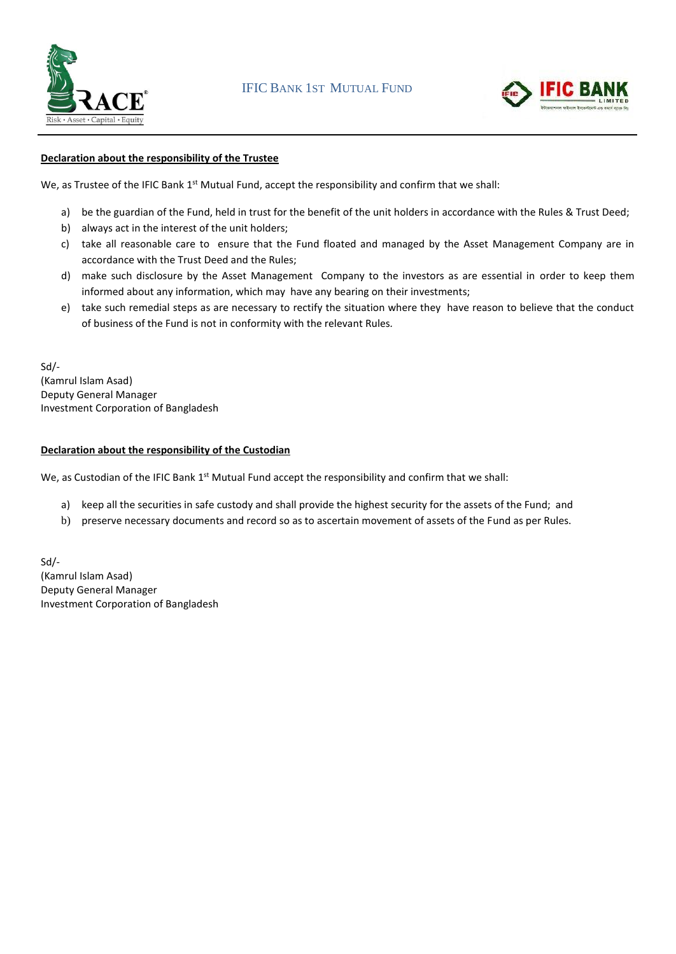



### **Declaration about the responsibility of the Trustee**

We, as Trustee of the IFIC Bank 1<sup>st</sup> Mutual Fund, accept the responsibility and confirm that we shall:

- a) be the guardian of the Fund, held in trust for the benefit of the unit holders in accordance with the Rules & Trust Deed;
- b) always act in the interest of the unit holders;
- c) take all reasonable care to ensure that the Fund floated and managed by the Asset Management Company are in accordance with the Trust Deed and the Rules;
- d) make such disclosure by the Asset Management Company to the investors as are essential in order to keep them informed about any information, which may have any bearing on their investments;
- e) take such remedial steps as are necessary to rectify the situation where they have reason to believe that the conduct of business of the Fund is not in conformity with the relevant Rules*.*

Sd/- (Kamrul Islam Asad) Deputy General Manager Investment Corporation of Bangladesh

#### **Declaration about the responsibility of the Custodian**

We, as Custodian of the IFIC Bank 1<sup>st</sup> Mutual Fund accept the responsibility and confirm that we shall:

- a) keep all the securities in safe custody and shall provide the highest security for the assets of the Fund; and
- b) preserve necessary documents and record so as to ascertain movement of assets of the Fund as per Rules.

Sd/- (Kamrul Islam Asad) Deputy General Manager Investment Corporation of Bangladesh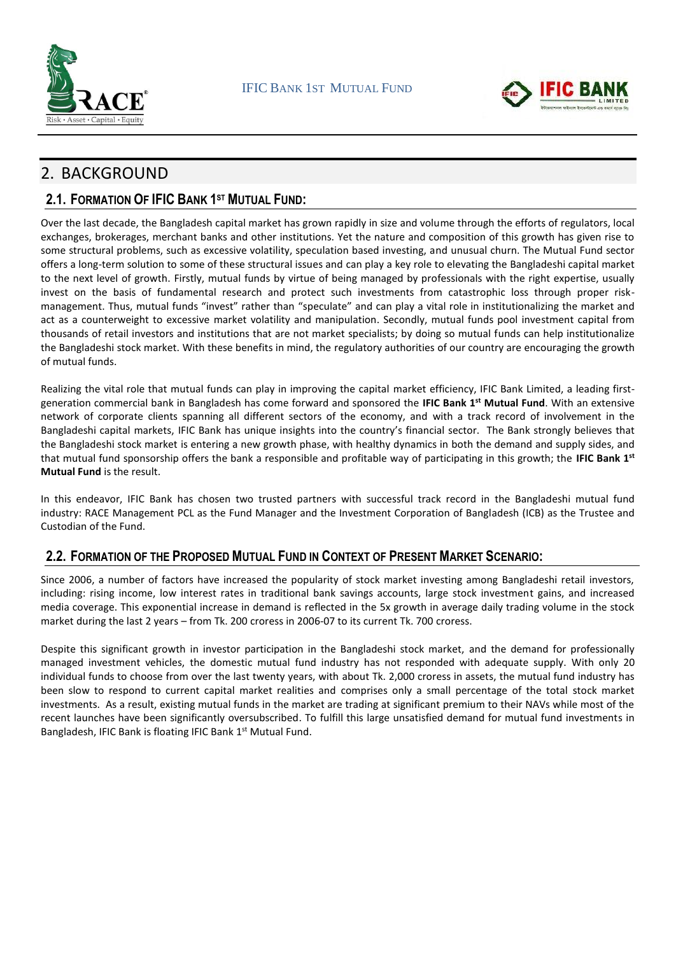



# 2. BACKGROUND

### **2.1. FORMATION OF IFIC BANK 1 ST MUTUAL FUND:**

Over the last decade, the Bangladesh capital market has grown rapidly in size and volume through the efforts of regulators, local exchanges, brokerages, merchant banks and other institutions. Yet the nature and composition of this growth has given rise to some structural problems, such as excessive volatility, speculation based investing, and unusual churn. The Mutual Fund sector offers a long-term solution to some of these structural issues and can play a key role to elevating the Bangladeshi capital market to the next level of growth. Firstly, mutual funds by virtue of being managed by professionals with the right expertise, usually invest on the basis of fundamental research and protect such investments from catastrophic loss through proper riskmanagement. Thus, mutual funds "invest" rather than "speculate" and can play a vital role in institutionalizing the market and act as a counterweight to excessive market volatility and manipulation. Secondly, mutual funds pool investment capital from thousands of retail investors and institutions that are not market specialists; by doing so mutual funds can help institutionalize the Bangladeshi stock market. With these benefits in mind, the regulatory authorities of our country are encouraging the growth of mutual funds.

Realizing the vital role that mutual funds can play in improving the capital market efficiency, IFIC Bank Limited, a leading firstgeneration commercial bank in Bangladesh has come forward and sponsored the **IFIC Bank 1 st Mutual Fund**. With an extensive network of corporate clients spanning all different sectors of the economy, and with a track record of involvement in the Bangladeshi capital markets, IFIC Bank has unique insights into the country's financial sector. The Bank strongly believes that the Bangladeshi stock market is entering a new growth phase, with healthy dynamics in both the demand and supply sides, and that mutual fund sponsorship offers the bank a responsible and profitable way of participating in this growth; the **IFIC Bank 1 st Mutual Fund** is the result.

In this endeavor, IFIC Bank has chosen two trusted partners with successful track record in the Bangladeshi mutual fund industry: RACE Management PCL as the Fund Manager and the Investment Corporation of Bangladesh (ICB) as the Trustee and Custodian of the Fund.

### **2.2. FORMATION OF THE PROPOSED MUTUAL FUND IN CONTEXT OF PRESENT MARKET SCENARIO:**

Since 2006, a number of factors have increased the popularity of stock market investing among Bangladeshi retail investors, including: rising income, low interest rates in traditional bank savings accounts, large stock investment gains, and increased media coverage. This exponential increase in demand is reflected in the 5x growth in average daily trading volume in the stock market during the last 2 years – from Tk. 200 croress in 2006-07 to its current Tk. 700 croress.

Despite this significant growth in investor participation in the Bangladeshi stock market, and the demand for professionally managed investment vehicles, the domestic mutual fund industry has not responded with adequate supply. With only 20 individual funds to choose from over the last twenty years, with about Tk. 2,000 croress in assets, the mutual fund industry has been slow to respond to current capital market realities and comprises only a small percentage of the total stock market investments. As a result, existing mutual funds in the market are trading at significant premium to their NAVs while most of the recent launches have been significantly oversubscribed. To fulfill this large unsatisfied demand for mutual fund investments in Bangladesh, IFIC Bank is floating IFIC Bank 1<sup>st</sup> Mutual Fund.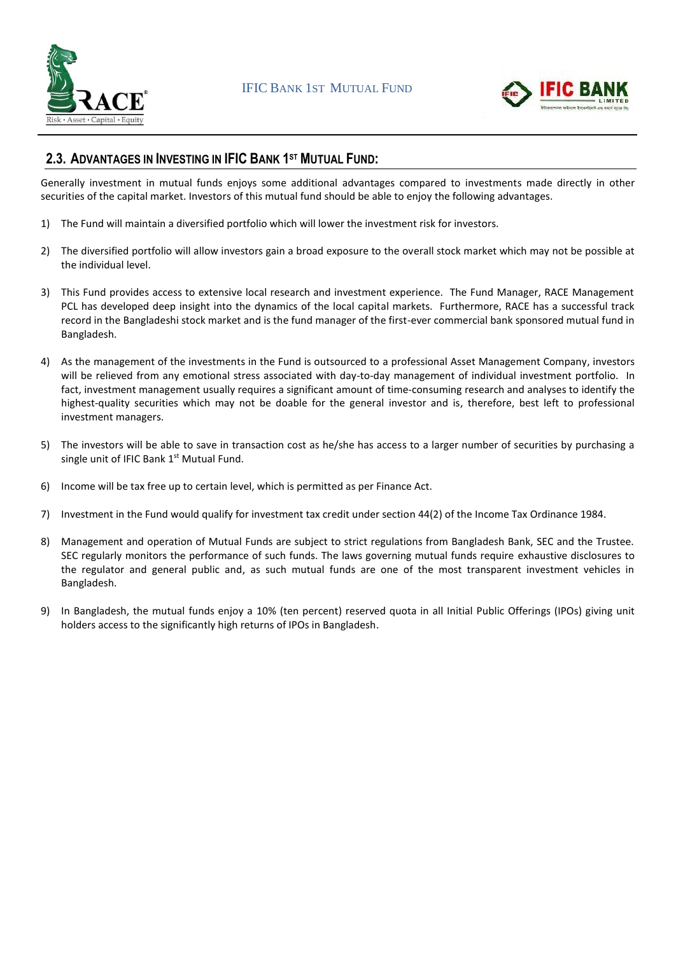



### **2.3. ADVANTAGES IN INVESTING IN IFIC BANK 1 ST MUTUAL FUND:**

Generally investment in mutual funds enjoys some additional advantages compared to investments made directly in other securities of the capital market. Investors of this mutual fund should be able to enjoy the following advantages.

- 1) The Fund will maintain a diversified portfolio which will lower the investment risk for investors.
- 2) The diversified portfolio will allow investors gain a broad exposure to the overall stock market which may not be possible at the individual level.
- 3) This Fund provides access to extensive local research and investment experience. The Fund Manager, RACE Management PCL has developed deep insight into the dynamics of the local capital markets. Furthermore, RACE has a successful track record in the Bangladeshi stock market and is the fund manager of the first-ever commercial bank sponsored mutual fund in Bangladesh.
- 4) As the management of the investments in the Fund is outsourced to a professional Asset Management Company, investors will be relieved from any emotional stress associated with day-to-day management of individual investment portfolio. In fact, investment management usually requires a significant amount of time-consuming research and analyses to identify the highest-quality securities which may not be doable for the general investor and is, therefore, best left to professional investment managers.
- 5) The investors will be able to save in transaction cost as he/she has access to a larger number of securities by purchasing a single unit of IFIC Bank 1<sup>st</sup> Mutual Fund.
- 6) Income will be tax free up to certain level, which is permitted as per Finance Act.
- 7) Investment in the Fund would qualify for investment tax credit under section 44(2) of the Income Tax Ordinance 1984.
- 8) Management and operation of Mutual Funds are subject to strict regulations from Bangladesh Bank, SEC and the Trustee. SEC regularly monitors the performance of such funds. The laws governing mutual funds require exhaustive disclosures to the regulator and general public and, as such mutual funds are one of the most transparent investment vehicles in Bangladesh.
- 9) In Bangladesh, the mutual funds enjoy a 10% (ten percent) reserved quota in all Initial Public Offerings (IPOs) giving unit holders access to the significantly high returns of IPOs in Bangladesh.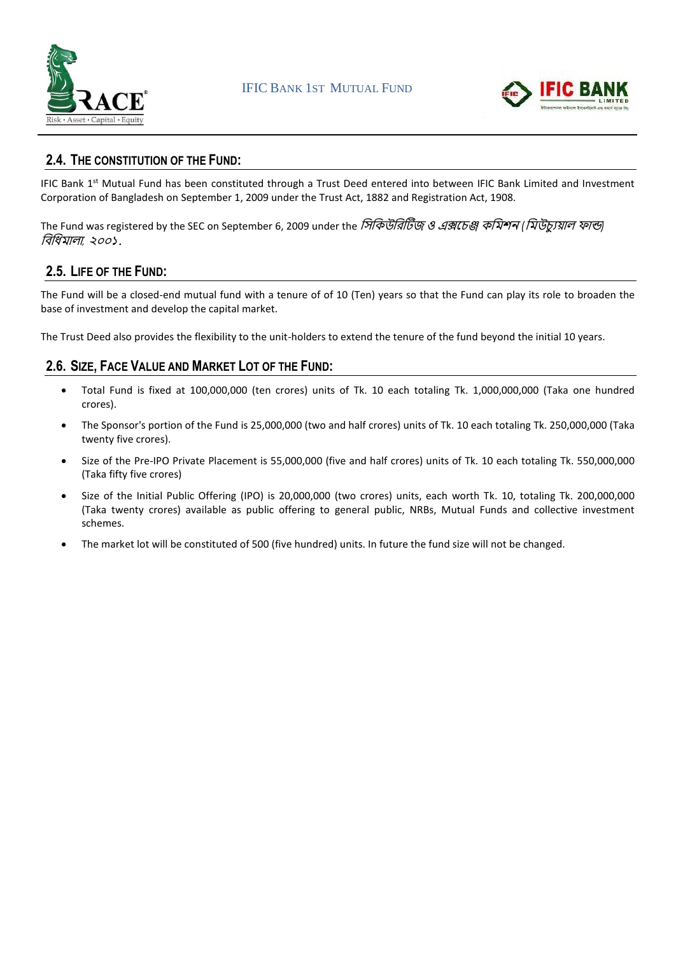



### **2.4. THE CONSTITUTION OF THE FUND:**

IFIC Bank 1<sup>st</sup> Mutual Fund has been constituted through a Trust Deed entered into between IFIC Bank Limited and Investment Corporation of Bangladesh on September 1, 2009 under the Trust Act, 1882 and Registration Act, 1908.

The Fund was registered by the SEC on September 6, 2009 under the সিসিউসিটিজ <sup>ও</sup> এক্সচেঞ্জ িসিশন *(*সিউেযুয়াল ফান্ড*)*  সিসিিালা*,* ২০০১*.*

### **2.5. LIFE OF THE FUND:**

The Fund will be a closed-end mutual fund with a tenure of of 10 (Ten) years so that the Fund can play its role to broaden the base of investment and develop the capital market.

The Trust Deed also provides the flexibility to the unit-holders to extend the tenure of the fund beyond the initial 10 years.

### **2.6. SIZE, FACE VALUE AND MARKET LOT OF THE FUND:**

- Total Fund is fixed at 100,000,000 (ten crores) units of Tk. 10 each totaling Tk. 1,000,000,000 (Taka one hundred crores).
- The Sponsor's portion of the Fund is 25,000,000 (two and half crores) units of Tk. 10 each totaling Tk. 250,000,000 (Taka twenty five crores).
- Size of the Pre-IPO Private Placement is 55,000,000 (five and half crores) units of Tk. 10 each totaling Tk. 550,000,000 (Taka fifty five crores)
- Size of the Initial Public Offering (IPO) is 20,000,000 (two crores) units, each worth Tk. 10, totaling Tk. 200,000,000 (Taka twenty crores) available as public offering to general public, NRBs, Mutual Funds and collective investment schemes.
- The market lot will be constituted of 500 (five hundred) units. In future the fund size will not be changed.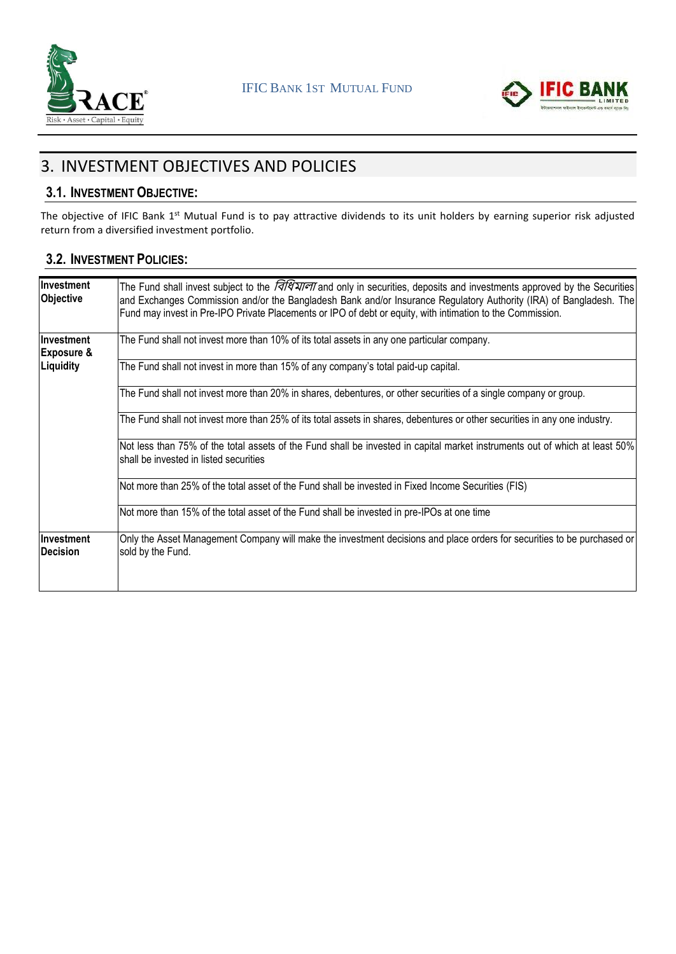



# 3. INVESTMENT OBJECTIVES AND POLICIES

### **3.1. INVESTMENT OBJECTIVE:**

The objective of IFIC Bank 1<sup>st</sup> Mutual Fund is to pay attractive dividends to its unit holders by earning superior risk adjusted return from a diversified investment portfolio.

### **3.2. INVESTMENT POLICIES:**

| Investment<br>Objective             | The Fund shall invest subject to the <i>जिधियाना</i> and only in securities, deposits and investments approved by the Securities<br>and Exchanges Commission and/or the Bangladesh Bank and/or Insurance Regulatory Authority (IRA) of Bangladesh. The<br>Fund may invest in Pre-IPO Private Placements or IPO of debt or equity, with intimation to the Commission. |
|-------------------------------------|----------------------------------------------------------------------------------------------------------------------------------------------------------------------------------------------------------------------------------------------------------------------------------------------------------------------------------------------------------------------|
| Investment<br><b>Exposure &amp;</b> | The Fund shall not invest more than 10% of its total assets in any one particular company.                                                                                                                                                                                                                                                                           |
| Liquidity                           | The Fund shall not invest in more than 15% of any company's total paid-up capital.                                                                                                                                                                                                                                                                                   |
|                                     | The Fund shall not invest more than 20% in shares, debentures, or other securities of a single company or group.                                                                                                                                                                                                                                                     |
|                                     | The Fund shall not invest more than 25% of its total assets in shares, debentures or other securities in any one industry.                                                                                                                                                                                                                                           |
|                                     | Not less than 75% of the total assets of the Fund shall be invested in capital market instruments out of which at least 50%<br>shall be invested in listed securities                                                                                                                                                                                                |
|                                     | Not more than 25% of the total asset of the Fund shall be invested in Fixed Income Securities (FIS)                                                                                                                                                                                                                                                                  |
|                                     | Not more than 15% of the total asset of the Fund shall be invested in pre-IPOs at one time                                                                                                                                                                                                                                                                           |
| Investment<br><b>IDecision</b>      | Only the Asset Management Company will make the investment decisions and place orders for securities to be purchased or<br>sold by the Fund.                                                                                                                                                                                                                         |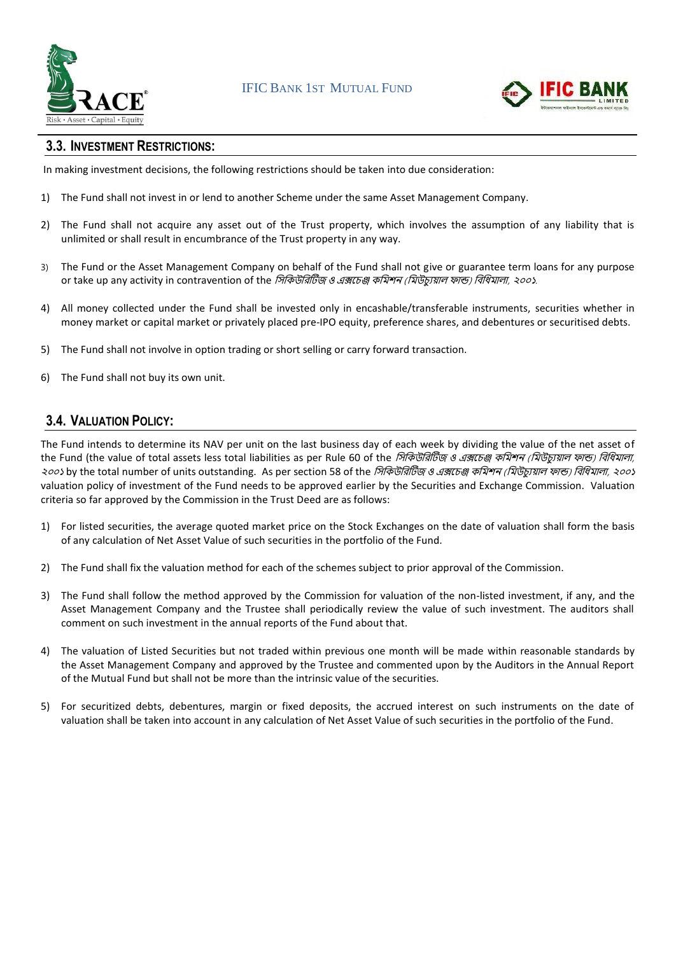



### **3.3. INVESTMENT RESTRICTIONS:**

In making investment decisions, the following restrictions should be taken into due consideration:

- 1) The Fund shall not invest in or lend to another Scheme under the same Asset Management Company.
- 2) The Fund shall not acquire any asset out of the Trust property, which involves the assumption of any liability that is unlimited or shall result in encumbrance of the Trust property in any way.
- 3) The Fund or the Asset Management Company on behalf of the Fund shall not give or guarantee term loans for any purpose or take up any activity in contravention of the সিসিউসিটিজ ও এক্সচেঞ্জ িসিশন (সিউেযুয়াল ফান্ড) সিসিিালা, ২০০১.
- 4) All money collected under the Fund shall be invested only in encashable/transferable instruments, securities whether in money market or capital market or privately placed pre-IPO equity, preference shares, and debentures or securitised debts.
- 5) The Fund shall not involve in option trading or short selling or carry forward transaction.
- 6) The Fund shall not buy its own unit.

### **3.4. VALUATION POLICY:**

The Fund intends to determine its NAV per unit on the last business day of each week by dividing the value of the net asset of the Fund (the value of total assets less total liabilities as per Rule 60 of the *সিকিউরিটিজ ও এক্সচেঞ্জ কমিশন (মিউচ্যুয়াল ফান্ড) বিধিমালা,* ২০০১ by the total number of units outstanding. As per section 58 of the *সিকিউরিটিজ ও এক্সচেঞ্জ কমিশন (মিউচ্যুয়াল ফান্ড) বিধিমালা, ২০০১* valuation policy of investment of the Fund needs to be approved earlier by the Securities and Exchange Commission. Valuation criteria so far approved by the Commission in the Trust Deed are as follows:

- 1) For listed securities, the average quoted market price on the Stock Exchanges on the date of valuation shall form the basis of any calculation of Net Asset Value of such securities in the portfolio of the Fund.
- 2) The Fund shall fix the valuation method for each of the schemes subject to prior approval of the Commission.
- 3) The Fund shall follow the method approved by the Commission for valuation of the non-listed investment, if any, and the Asset Management Company and the Trustee shall periodically review the value of such investment. The auditors shall comment on such investment in the annual reports of the Fund about that.
- 4) The valuation of Listed Securities but not traded within previous one month will be made within reasonable standards by the Asset Management Company and approved by the Trustee and commented upon by the Auditors in the Annual Report of the Mutual Fund but shall not be more than the intrinsic value of the securities.
- 5) For securitized debts, debentures, margin or fixed deposits, the accrued interest on such instruments on the date of valuation shall be taken into account in any calculation of Net Asset Value of such securities in the portfolio of the Fund.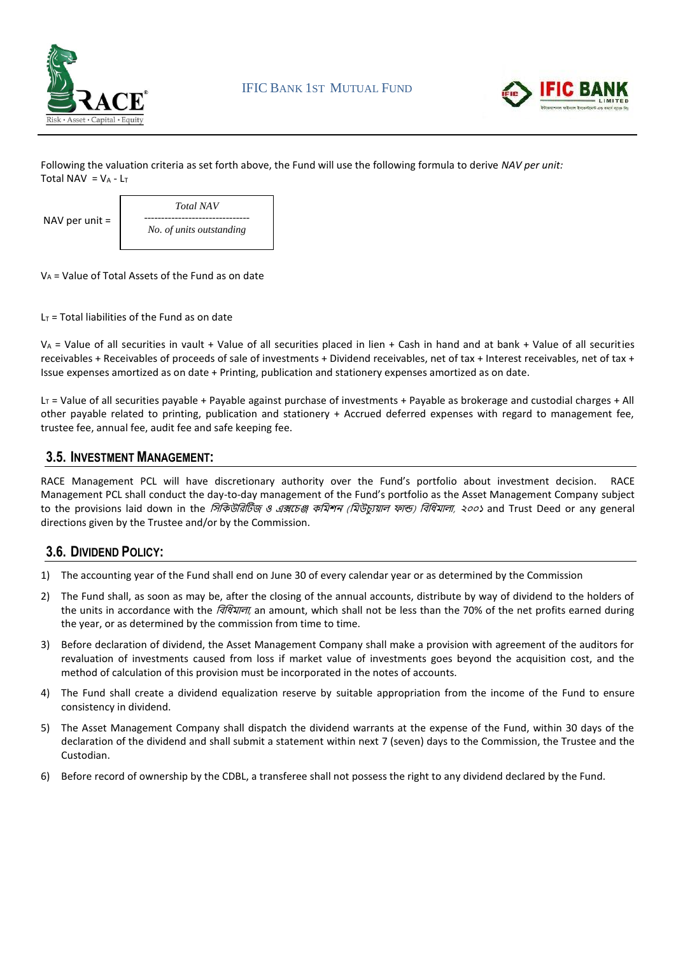



Following the valuation criteria as set forth above, the Fund will use the following formula to derive *NAV per unit:*  Total NAV =  $V_A - L_T$ 

|                  | <b>Total NAV</b>         |
|------------------|--------------------------|
| NAV per unit $=$ |                          |
|                  | No. of units outstanding |
|                  |                          |

 $V_A$  = Value of Total Assets of the Fund as on date

 $L_T$  = Total liabilities of the Fund as on date

V<sup>A</sup> = Value of all securities in vault + Value of all securities placed in lien + Cash in hand and at bank + Value of all securities receivables + Receivables of proceeds of sale of investments + Dividend receivables, net of tax + Interest receivables, net of tax + Issue expenses amortized as on date + Printing, publication and stationery expenses amortized as on date.

 $L_T$  = Value of all securities payable + Payable against purchase of investments + Payable as brokerage and custodial charges + All other payable related to printing, publication and stationery + Accrued deferred expenses with regard to management fee, trustee fee, annual fee, audit fee and safe keeping fee.

### **3.5. INVESTMENT MANAGEMENT:**

RACE Management PCL will have discretionary authority over the Fund's portfolio about investment decision. RACE Management PCL shall conduct the day-to-day management of the Fund's portfolio as the Asset Management Company subject to the provisions laid down in the *সিকিউরিটিজ ও এক্সচেঞ্জ কমিশন (মিউচায়াল ফান্ড) বিধিমালা, ২০০১* and Trust Deed or any general directions given by the Trustee and/or by the Commission.

### **3.6. DIVIDEND POLICY:**

- 1) The accounting year of the Fund shall end on June 30 of every calendar year or as determined by the Commission
- 2) The Fund shall, as soon as may be, after the closing of the annual accounts, distribute by way of dividend to the holders of the units in accordance with the *বিধিমালা*, an amount, which shall not be less than the 70% of the net profits earned during the year, or as determined by the commission from time to time.
- 3) Before declaration of dividend, the Asset Management Company shall make a provision with agreement of the auditors for revaluation of investments caused from loss if market value of investments goes beyond the acquisition cost, and the method of calculation of this provision must be incorporated in the notes of accounts.
- 4) The Fund shall create a dividend equalization reserve by suitable appropriation from the income of the Fund to ensure consistency in dividend.
- 5) The Asset Management Company shall dispatch the dividend warrants at the expense of the Fund, within 30 days of the declaration of the dividend and shall submit a statement within next 7 (seven) days to the Commission, the Trustee and the Custodian.
- 6) Before record of ownership by the CDBL, a transferee shall not possess the right to any dividend declared by the Fund.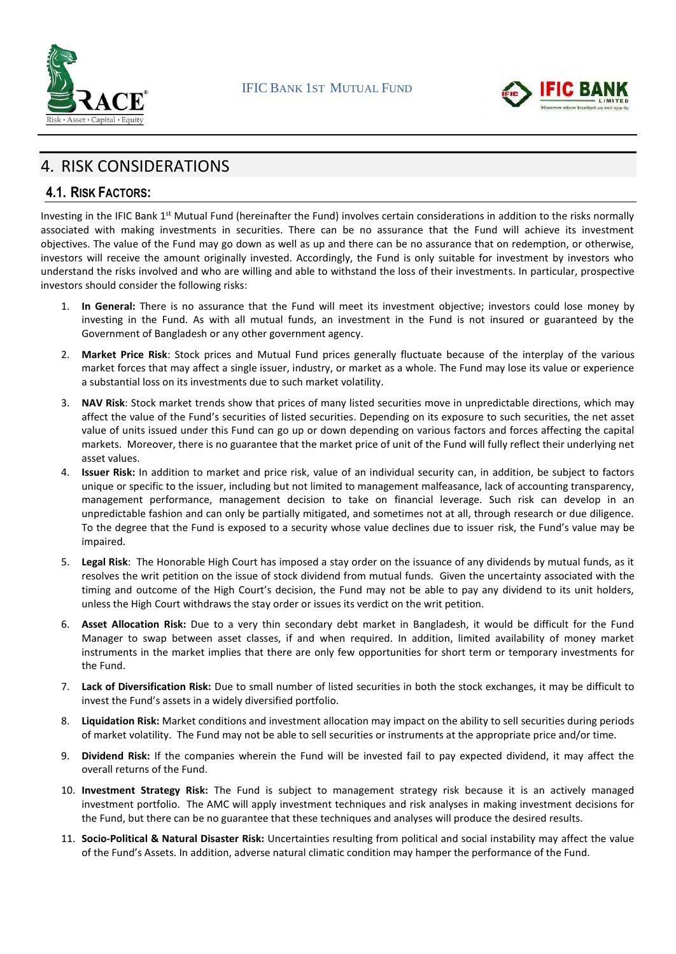



# 4. RISK CONSIDERATIONS

### **4.1. RISK FACTORS:**

Investing in the IFIC Bank 1<sup>st</sup> Mutual Fund (hereinafter the Fund) involves certain considerations in addition to the risks normally associated with making investments in securities. There can be no assurance that the Fund will achieve its investment objectives. The value of the Fund may go down as well as up and there can be no assurance that on redemption, or otherwise, investors will receive the amount originally invested. Accordingly, the Fund is only suitable for investment by investors who understand the risks involved and who are willing and able to withstand the loss of their investments. In particular, prospective investors should consider the following risks:

- 1. **In General:** There is no assurance that the Fund will meet its investment objective; investors could lose money by investing in the Fund. As with all mutual funds, an investment in the Fund is not insured or guaranteed by the Government of Bangladesh or any other government agency.
- 2. **Market Price Risk**: Stock prices and Mutual Fund prices generally fluctuate because of the interplay of the various market forces that may affect a single issuer, industry, or market as a whole. The Fund may lose its value or experience a substantial loss on its investments due to such market volatility.
- 3. **NAV Risk**: Stock market trends show that prices of many listed securities move in unpredictable directions, which may affect the value of the Fund's securities of listed securities. Depending on its exposure to such securities, the net asset value of units issued under this Fund can go up or down depending on various factors and forces affecting the capital markets. Moreover, there is no guarantee that the market price of unit of the Fund will fully reflect their underlying net asset values.
- 4. **Issuer Risk:** In addition to market and price risk, value of an individual security can, in addition, be subject to factors unique or specific to the issuer, including but not limited to management malfeasance, lack of accounting transparency, management performance, management decision to take on financial leverage. Such risk can develop in an unpredictable fashion and can only be partially mitigated, and sometimes not at all, through research or due diligence. To the degree that the Fund is exposed to a security whose value declines due to issuer risk, the Fund's value may be impaired.
- 5. **Legal Risk**: The Honorable High Court has imposed a stay order on the issuance of any dividends by mutual funds, as it resolves the writ petition on the issue of stock dividend from mutual funds. Given the uncertainty associated with the timing and outcome of the High Court's decision, the Fund may not be able to pay any dividend to its unit holders, unless the High Court withdraws the stay order or issues its verdict on the writ petition.
- 6. **Asset Allocation Risk:** Due to a very thin secondary debt market in Bangladesh, it would be difficult for the Fund Manager to swap between asset classes, if and when required. In addition, limited availability of money market instruments in the market implies that there are only few opportunities for short term or temporary investments for the Fund.
- 7. **Lack of Diversification Risk:** Due to small number of listed securities in both the stock exchanges, it may be difficult to invest the Fund's assets in a widely diversified portfolio.
- 8. **Liquidation Risk:** Market conditions and investment allocation may impact on the ability to sell securities during periods of market volatility. The Fund may not be able to sell securities or instruments at the appropriate price and/or time.
- 9. **Dividend Risk:** If the companies wherein the Fund will be invested fail to pay expected dividend, it may affect the overall returns of the Fund.
- 10. **Investment Strategy Risk:** The Fund is subject to management strategy risk because it is an actively managed investment portfolio. The AMC will apply investment techniques and risk analyses in making investment decisions for the Fund, but there can be no guarantee that these techniques and analyses will produce the desired results.
- 11. **Socio-Political & Natural Disaster Risk:** Uncertainties resulting from political and social instability may affect the value of the Fund's Assets. In addition, adverse natural climatic condition may hamper the performance of the Fund.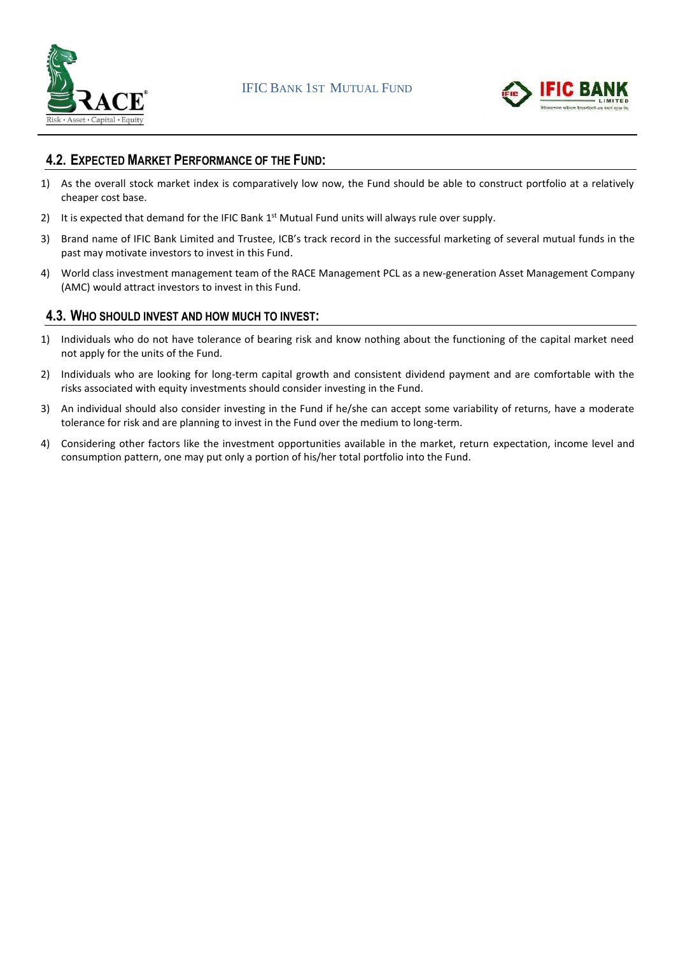



### **4.2. EXPECTED MARKET PERFORMANCE OF THE FUND:**

- 1) As the overall stock market index is comparatively low now, the Fund should be able to construct portfolio at a relatively cheaper cost base.
- 2) It is expected that demand for the IFIC Bank  $1<sup>st</sup>$  Mutual Fund units will always rule over supply.
- 3) Brand name of IFIC Bank Limited and Trustee, ICB's track record in the successful marketing of several mutual funds in the past may motivate investors to invest in this Fund.
- 4) World class investment management team of the RACE Management PCL as a new-generation Asset Management Company (AMC) would attract investors to invest in this Fund.

### **4.3. WHO SHOULD INVEST AND HOW MUCH TO INVEST:**

- 1) Individuals who do not have tolerance of bearing risk and know nothing about the functioning of the capital market need not apply for the units of the Fund.
- 2) Individuals who are looking for long-term capital growth and consistent dividend payment and are comfortable with the risks associated with equity investments should consider investing in the Fund.
- 3) An individual should also consider investing in the Fund if he/she can accept some variability of returns, have a moderate tolerance for risk and are planning to invest in the Fund over the medium to long-term.
- 4) Considering other factors like the investment opportunities available in the market, return expectation, income level and consumption pattern, one may put only a portion of his/her total portfolio into the Fund.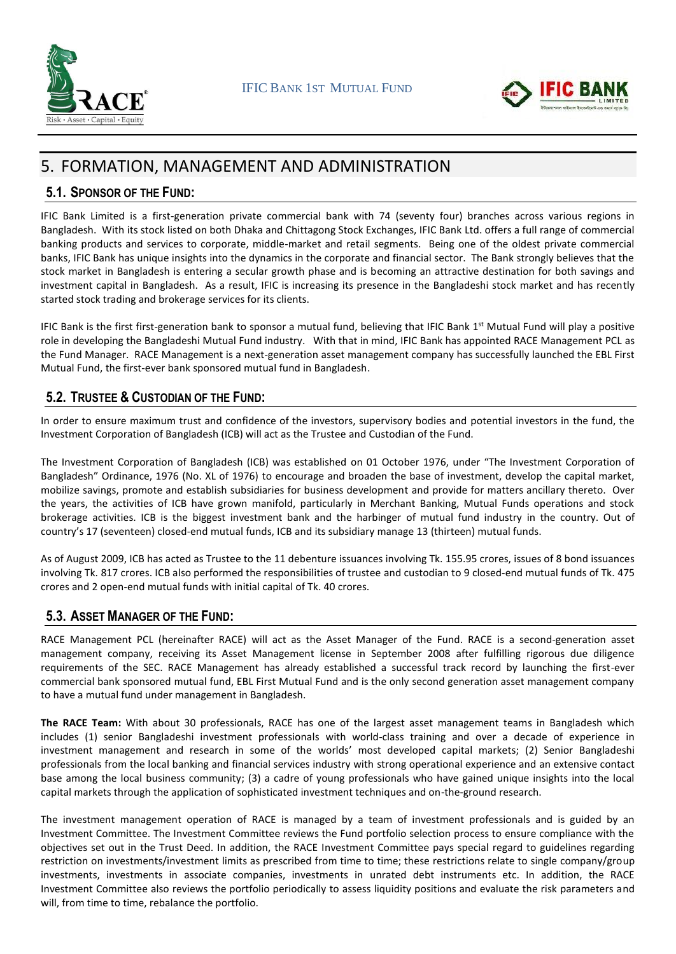



# 5. FORMATION, MANAGEMENT AND ADMINISTRATION

### **5.1. SPONSOR OF THE FUND:**

IFIC Bank Limited is a first-generation private commercial bank with 74 (seventy four) branches across various regions in Bangladesh. With its stock listed on both Dhaka and Chittagong Stock Exchanges, IFIC Bank Ltd. offers a full range of commercial banking products and services to corporate, middle-market and retail segments. Being one of the oldest private commercial banks, IFIC Bank has unique insights into the dynamics in the corporate and financial sector. The Bank strongly believes that the stock market in Bangladesh is entering a secular growth phase and is becoming an attractive destination for both savings and investment capital in Bangladesh. As a result, IFIC is increasing its presence in the Bangladeshi stock market and has recently started stock trading and brokerage services for its clients.

IFIC Bank is the first first-generation bank to sponsor a mutual fund, believing that IFIC Bank 1<sup>st</sup> Mutual Fund will play a positive role in developing the Bangladeshi Mutual Fund industry. With that in mind, IFIC Bank has appointed RACE Management PCL as the Fund Manager. RACE Management is a next-generation asset management company has successfully launched the EBL First Mutual Fund, the first-ever bank sponsored mutual fund in Bangladesh.

### **5.2. TRUSTEE & CUSTODIAN OF THE FUND:**

In order to ensure maximum trust and confidence of the investors, supervisory bodies and potential investors in the fund, the Investment Corporation of Bangladesh (ICB) will act as the Trustee and Custodian of the Fund.

The Investment Corporation of Bangladesh (ICB) was established on 01 October 1976, under "The Investment Corporation of Bangladesh" Ordinance, 1976 (No. XL of 1976) to encourage and broaden the base of investment, develop the capital market, mobilize savings, promote and establish subsidiaries for business development and provide for matters ancillary thereto. Over the years, the activities of ICB have grown manifold, particularly in Merchant Banking, Mutual Funds operations and stock brokerage activities. ICB is the biggest investment bank and the harbinger of mutual fund industry in the country. Out of country's 17 (seventeen) closed-end mutual funds, ICB and its subsidiary manage 13 (thirteen) mutual funds.

As of August 2009, ICB has acted as Trustee to the 11 debenture issuances involving Tk. 155.95 crores, issues of 8 bond issuances involving Tk. 817 crores. ICB also performed the responsibilities of trustee and custodian to 9 closed-end mutual funds of Tk. 475 crores and 2 open-end mutual funds with initial capital of Tk. 40 crores.

### **5.3. ASSET MANAGER OF THE FUND:**

RACE Management PCL (hereinafter RACE) will act as the Asset Manager of the Fund. RACE is a second-generation asset management company, receiving its Asset Management license in September 2008 after fulfilling rigorous due diligence requirements of the SEC. RACE Management has already established a successful track record by launching the first-ever commercial bank sponsored mutual fund, EBL First Mutual Fund and is the only second generation asset management company to have a mutual fund under management in Bangladesh.

**The RACE Team:** With about 30 professionals, RACE has one of the largest asset management teams in Bangladesh which includes (1) senior Bangladeshi investment professionals with world-class training and over a decade of experience in investment management and research in some of the worlds' most developed capital markets; (2) Senior Bangladeshi professionals from the local banking and financial services industry with strong operational experience and an extensive contact base among the local business community; (3) a cadre of young professionals who have gained unique insights into the local capital markets through the application of sophisticated investment techniques and on-the-ground research.

The investment management operation of RACE is managed by a team of investment professionals and is guided by an Investment Committee. The Investment Committee reviews the Fund portfolio selection process to ensure compliance with the objectives set out in the Trust Deed. In addition, the RACE Investment Committee pays special regard to guidelines regarding restriction on investments/investment limits as prescribed from time to time; these restrictions relate to single company/group investments, investments in associate companies, investments in unrated debt instruments etc. In addition, the RACE Investment Committee also reviews the portfolio periodically to assess liquidity positions and evaluate the risk parameters and will, from time to time, rebalance the portfolio.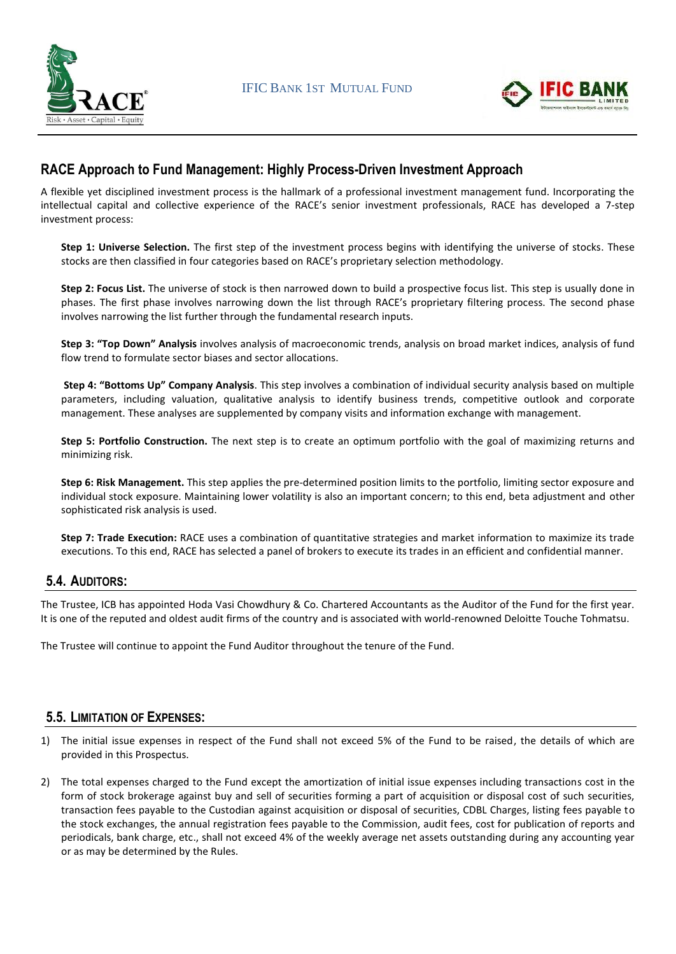



### **RACE Approach to Fund Management: Highly Process-Driven Investment Approach**

A flexible yet disciplined investment process is the hallmark of a professional investment management fund. Incorporating the intellectual capital and collective experience of the RACE's senior investment professionals, RACE has developed a 7-step investment process:

**Step 1: Universe Selection.** The first step of the investment process begins with identifying the universe of stocks. These stocks are then classified in four categories based on RACE's proprietary selection methodology.

**Step 2: Focus List.** The universe of stock is then narrowed down to build a prospective focus list. This step is usually done in phases. The first phase involves narrowing down the list through RACE's proprietary filtering process. The second phase involves narrowing the list further through the fundamental research inputs.

**Step 3: "Top Down" Analysis** involves analysis of macroeconomic trends, analysis on broad market indices, analysis of fund flow trend to formulate sector biases and sector allocations.

**Step 4: "Bottoms Up" Company Analysis**. This step involves a combination of individual security analysis based on multiple parameters, including valuation, qualitative analysis to identify business trends, competitive outlook and corporate management. These analyses are supplemented by company visits and information exchange with management.

**Step 5: Portfolio Construction.** The next step is to create an optimum portfolio with the goal of maximizing returns and minimizing risk.

**Step 6: Risk Management.** This step applies the pre-determined position limits to the portfolio, limiting sector exposure and individual stock exposure. Maintaining lower volatility is also an important concern; to this end, beta adjustment and other sophisticated risk analysis is used.

**Step 7: Trade Execution:** RACE uses a combination of quantitative strategies and market information to maximize its trade executions. To this end, RACE has selected a panel of brokers to execute its trades in an efficient and confidential manner.

### **5.4. AUDITORS:**

The Trustee, ICB has appointed Hoda Vasi Chowdhury & Co. Chartered Accountants as the Auditor of the Fund for the first year. It is one of the reputed and oldest audit firms of the country and is associated with world-renowned Deloitte Touche Tohmatsu.

The Trustee will continue to appoint the Fund Auditor throughout the tenure of the Fund.

### **5.5. LIMITATION OF EXPENSES:**

- 1) The initial issue expenses in respect of the Fund shall not exceed 5% of the Fund to be raised, the details of which are provided in this Prospectus.
- 2) The total expenses charged to the Fund except the amortization of initial issue expenses including transactions cost in the form of stock brokerage against buy and sell of securities forming a part of acquisition or disposal cost of such securities, transaction fees payable to the Custodian against acquisition or disposal of securities, CDBL Charges, listing fees payable to the stock exchanges, the annual registration fees payable to the Commission, audit fees, cost for publication of reports and periodicals, bank charge, etc., shall not exceed 4% of the weekly average net assets outstanding during any accounting year or as may be determined by the Rules.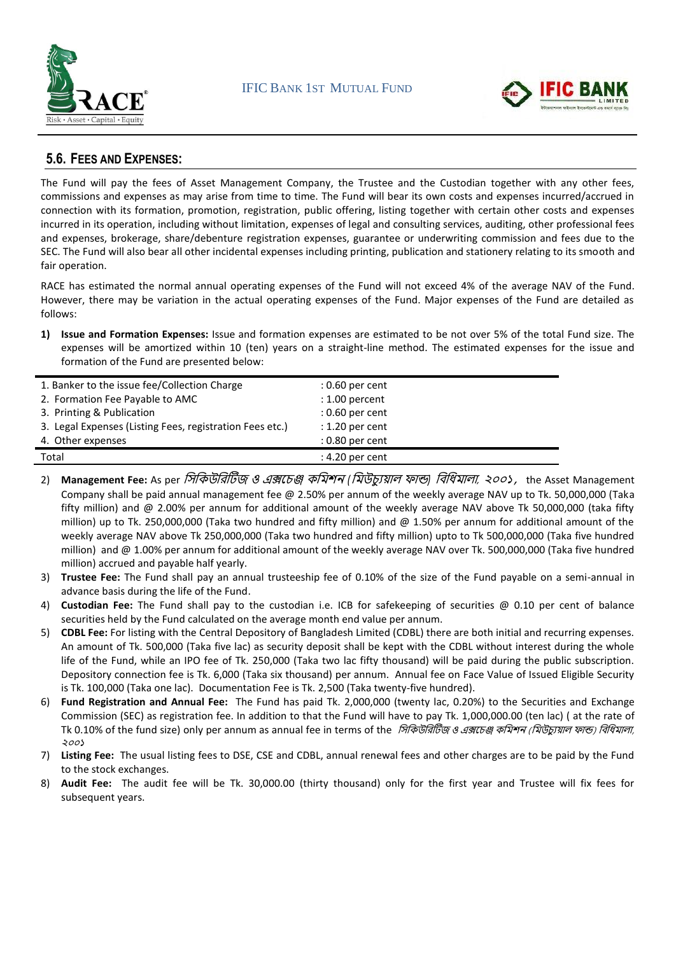



### **5.6. FEES AND EXPENSES:**

The Fund will pay the fees of Asset Management Company, the Trustee and the Custodian together with any other fees, commissions and expenses as may arise from time to time. The Fund will bear its own costs and expenses incurred/accrued in connection with its formation, promotion, registration, public offering, listing together with certain other costs and expenses incurred in its operation, including without limitation, expenses of legal and consulting services, auditing, other professional fees and expenses, brokerage, share/debenture registration expenses, guarantee or underwriting commission and fees due to the SEC. The Fund will also bear all other incidental expenses including printing, publication and stationery relating to its smooth and fair operation.

RACE has estimated the normal annual operating expenses of the Fund will not exceed 4% of the average NAV of the Fund. However, there may be variation in the actual operating expenses of the Fund. Major expenses of the Fund are detailed as follows:

**1) Issue and Formation Expenses:** Issue and formation expenses are estimated to be not over 5% of the total Fund size. The expenses will be amortized within 10 (ten) years on a straight-line method. The estimated expenses for the issue and formation of the Fund are presented below:

| 1. Banker to the issue fee/Collection Charge             | $: 0.60$ per cent |
|----------------------------------------------------------|-------------------|
| 2. Formation Fee Payable to AMC                          | $: 1.00$ percent  |
| 3. Printing & Publication                                | $: 0.60$ per cent |
| 3. Legal Expenses (Listing Fees, registration Fees etc.) | $: 1.20$ per cent |
| 4. Other expenses                                        | $: 0.80$ per cent |
| Total                                                    | $: 4.20$ per cent |

- 2) **Management Fee:** As per সিসিউসিটিজ <sup>ও</sup> এক্সচেঞ্জ িসিশন *(*সিউেযুয়াল ফান্ড*)* সিসিিালা*,* ২০০১*,* the Asset Management Company shall be paid annual management fee @ 2.50% per annum of the weekly average NAV up to Tk. 50,000,000 (Taka fifty million) and @ 2.00% per annum for additional amount of the weekly average NAV above Tk 50,000,000 (taka fifty million) up to Tk. 250,000,000 (Taka two hundred and fifty million) and @ 1.50% per annum for additional amount of the weekly average NAV above Tk 250,000,000 (Taka two hundred and fifty million) upto to Tk 500,000,000 (Taka five hundred million) and @ 1.00% per annum for additional amount of the weekly average NAV over Tk. 500,000,000 (Taka five hundred million) accrued and payable half yearly.
- 3) **Trustee Fee:** The Fund shall pay an annual trusteeship fee of 0.10% of the size of the Fund payable on a semi-annual in advance basis during the life of the Fund.
- 4) **Custodian Fee:** The Fund shall pay to the custodian i.e. ICB for safekeeping of securities @ 0.10 per cent of balance securities held by the Fund calculated on the average month end value per annum.
- 5) **CDBL Fee:** For listing with the Central Depository of Bangladesh Limited (CDBL) there are both initial and recurring expenses. An amount of Tk. 500,000 (Taka five lac) as security deposit shall be kept with the CDBL without interest during the whole life of the Fund, while an IPO fee of Tk. 250,000 (Taka two lac fifty thousand) will be paid during the public subscription. Depository connection fee is Tk. 6,000 (Taka six thousand) per annum. Annual fee on Face Value of Issued Eligible Security is Tk. 100,000 (Taka one lac). Documentation Fee is Tk. 2,500 (Taka twenty-five hundred).
- 6) **Fund Registration and Annual Fee:** The Fund has paid Tk. 2,000,000 (twenty lac, 0.20%) to the Securities and Exchange Commission (SEC) as registration fee. In addition to that the Fund will have to pay Tk. 1,000,000.00 (ten lac) ( at the rate of Tk 0.10% of the fund size) only per annum as annual fee in terms of the *সিকিউরিটিজ ও এক্সচেঞ্জ কমিশন (মিউচ্যুয়াল ফাল্ড) বিধিমালা,* ২০০১
- 7) **Listing Fee:** The usual listing fees to DSE, CSE and CDBL, annual renewal fees and other charges are to be paid by the Fund to the stock exchanges.
- 8) **Audit Fee:** The audit fee will be Tk. 30,000.00 (thirty thousand) only for the first year and Trustee will fix fees for subsequent years.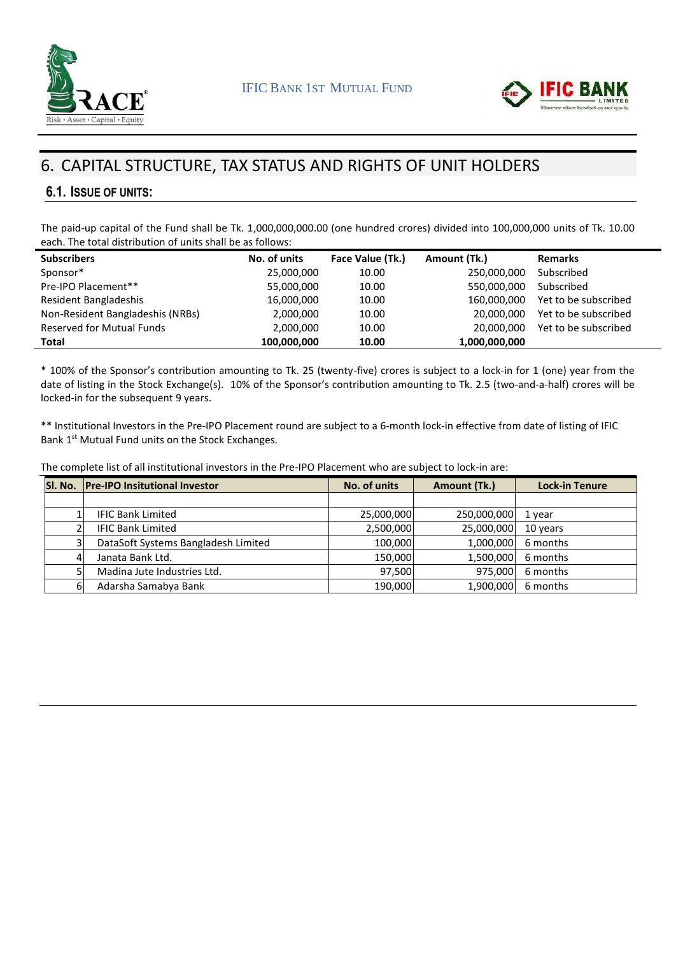



# 6. CAPITAL STRUCTURE, TAX STATUS AND RIGHTS OF UNIT HOLDERS

### **6.1. ISSUE OF UNITS:**

The paid-up capital of the Fund shall be Tk. 1,000,000,000.00 (one hundred crores) divided into 100,000,000 units of Tk. 10.00 each. The total distribution of units shall be as follows:

| <b>Subscribers</b>               | No. of units | Face Value (Tk.) | Amount (Tk.)  | <b>Remarks</b>       |
|----------------------------------|--------------|------------------|---------------|----------------------|
| Sponsor*                         | 25,000,000   | 10.00            | 250,000,000   | Subscribed           |
| Pre-IPO Placement**              | 55,000,000   | 10.00            | 550,000,000   | Subscribed           |
| Resident Bangladeshis            | 16,000,000   | 10.00            | 160,000,000   | Yet to be subscribed |
| Non-Resident Bangladeshis (NRBs) | 2,000,000    | 10.00            | 20,000,000    | Yet to be subscribed |
| <b>Reserved for Mutual Funds</b> | 2,000,000    | 10.00            | 20,000,000    | Yet to be subscribed |
| <b>Total</b>                     | 100,000,000  | 10.00            | 1,000,000,000 |                      |

\* 100% of the Sponsor's contribution amounting to Tk. 25 (twenty-five) crores is subject to a lock-in for 1 (one) year from the date of listing in the Stock Exchange(s). 10% of the Sponsor's contribution amounting to Tk. 2.5 (two-and-a-half) crores will be locked-in for the subsequent 9 years.

\*\* Institutional Investors in the Pre-IPO Placement round are subject to a 6-month lock-in effective from date of listing of IFIC Bank 1<sup>st</sup> Mutual Fund units on the Stock Exchanges.

The complete list of all institutional investors in the Pre-IPO Placement who are subject to lock-in are:

|   | <b>SI. No. Pre-IPO Insitutional Investor</b> | No. of units | Amount (Tk.) | <b>Lock-in Tenure</b> |
|---|----------------------------------------------|--------------|--------------|-----------------------|
|   |                                              |              |              |                       |
|   | <b>IFIC Bank Limited</b>                     | 25,000,000   | 250,000,000  | 1 year                |
|   | <b>IFIC Bank Limited</b>                     | 2,500,000    | 25,000,000   | 10 years              |
| 3 | DataSoft Systems Bangladesh Limited          | 100,000      | 1,000,000    | 6 months              |
| 4 | Janata Bank Ltd.                             | 150.000      | 1,500,000    | 6 months              |
|   | Madina Jute Industries Ltd.                  | 97,500       | 975,000      | 6 months              |
| 6 | Adarsha Samabya Bank                         | 190,000      | 1,900,000    | 6 months              |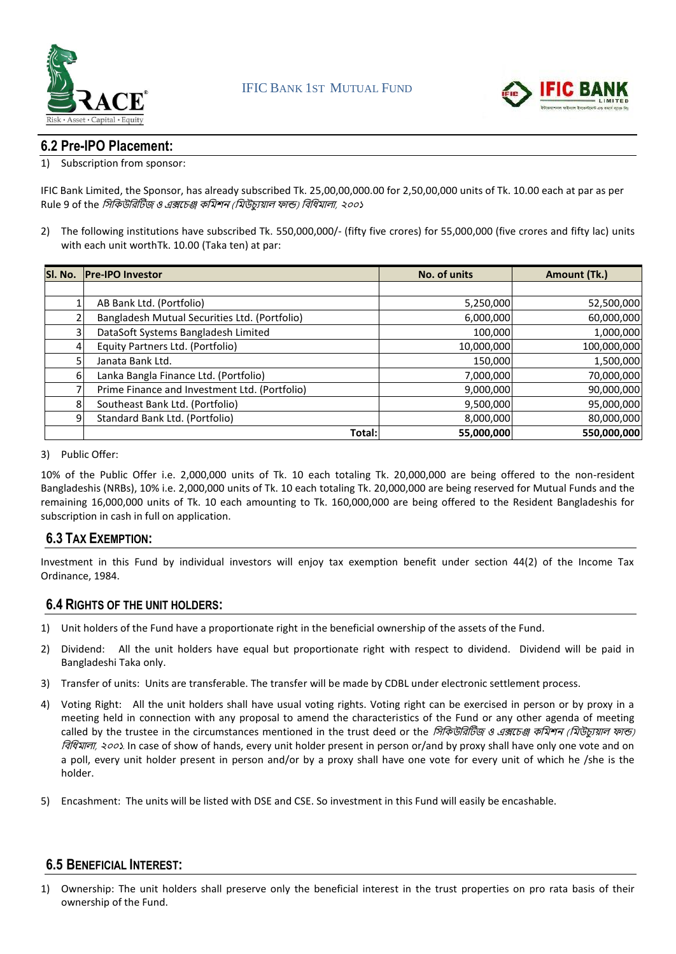



### **6.2 Pre-IPO Placement:**

#### 1) Subscription from sponsor:

IFIC Bank Limited, the Sponsor, has already subscribed Tk. 25,00,00,000.00 for 2,50,00,000 units of Tk. 10.00 each at par as per Rule 9 of the *সিকিউরিটিজ ও এক্সচেঞ্জ কমিশন (মিউচ্যুয়াল ফান্ড) বিধিমালা, ২০০*১

2) The following institutions have subscribed Tk. 550,000,000/- (fifty five crores) for 55,000,000 (five crores and fifty lac) units with each unit worthTk. 10.00 (Taka ten) at par:

|    | SI. No. Pre-IPO Investor                      | No. of units | Amount (Tk.) |
|----|-----------------------------------------------|--------------|--------------|
|    |                                               |              |              |
|    | AB Bank Ltd. (Portfolio)                      | 5,250,000    | 52,500,000   |
|    | Bangladesh Mutual Securities Ltd. (Portfolio) | 6,000,000    | 60,000,000   |
| 31 | DataSoft Systems Bangladesh Limited           | 100,000      | 1,000,000    |
| 4  | Equity Partners Ltd. (Portfolio)              | 10,000,000   | 100,000,000  |
| 5  | Janata Bank Ltd.                              | 150,000      | 1,500,000    |
| 6  | Lanka Bangla Finance Ltd. (Portfolio)         | 7,000,000    | 70,000,000   |
| 7  | Prime Finance and Investment Ltd. (Portfolio) | 9,000,000    | 90,000,000   |
| 8  | Southeast Bank Ltd. (Portfolio)               | 9,500,000    | 95,000,000   |
| 9  | Standard Bank Ltd. (Portfolio)                | 8,000,000    | 80,000,000   |
|    | Total:                                        | 55,000,000   | 550,000,000  |

#### 3) Public Offer:

10% of the Public Offer i.e. 2,000,000 units of Tk. 10 each totaling Tk. 20,000,000 are being offered to the non-resident Bangladeshis (NRBs), 10% i.e. 2,000,000 units of Tk. 10 each totaling Tk. 20,000,000 are being reserved for Mutual Funds and the remaining 16,000,000 units of Tk. 10 each amounting to Tk. 160,000,000 are being offered to the Resident Bangladeshis for subscription in cash in full on application.

### **6.3 TAX EXEMPTION:**

Investment in this Fund by individual investors will enjoy tax exemption benefit under section 44(2) of the Income Tax Ordinance, 1984.

### **6.4 RIGHTS OF THE UNIT HOLDERS:**

- 1) Unit holders of the Fund have a proportionate right in the beneficial ownership of the assets of the Fund.
- 2) Dividend: All the unit holders have equal but proportionate right with respect to dividend. Dividend will be paid in Bangladeshi Taka only.
- 3) Transfer of units: Units are transferable. The transfer will be made by CDBL under electronic settlement process.
- 4) Voting Right: All the unit holders shall have usual voting rights. Voting right can be exercised in person or by proxy in a meeting held in connection with any proposal to amend the characteristics of the Fund or any other agenda of meeting called by the trustee in the circumstances mentioned in the trust deed or the *সিকিউরিটিজ ও এক্সচেঞ্জ কমিশন (মিউচুয়োল ফান্ড)* সিসিিালা, ২০০১. In case of show of hands, every unit holder present in person or/and by proxy shall have only one vote and on a poll, every unit holder present in person and/or by a proxy shall have one vote for every unit of which he /she is the holder.
- 5) Encashment: The units will be listed with DSE and CSE. So investment in this Fund will easily be encashable.

### **6.5 BENEFICIAL INTEREST:**

1) Ownership: The unit holders shall preserve only the beneficial interest in the trust properties on pro rata basis of their ownership of the Fund.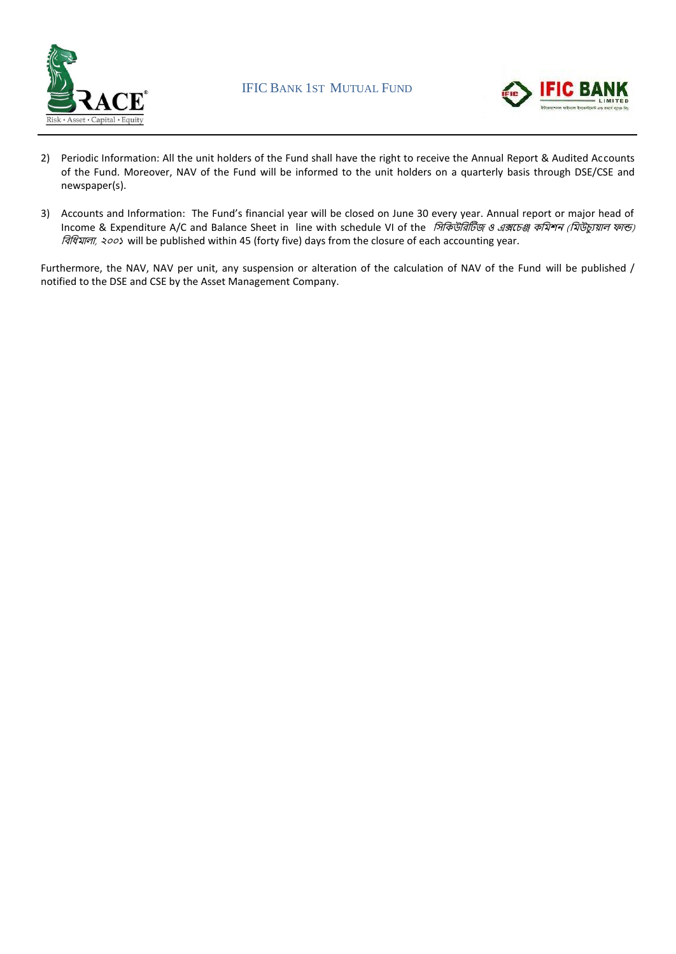



- 2) Periodic Information: All the unit holders of the Fund shall have the right to receive the Annual Report & Audited Accounts of the Fund. Moreover, NAV of the Fund will be informed to the unit holders on a quarterly basis through DSE/CSE and newspaper(s).
- 3) Accounts and Information: The Fund's financial year will be closed on June 30 every year. Annual report or major head of Income & Expenditure A/C and Balance Sheet in line with schedule VI of the *সিকিউরিটিজ ও এক্সচেঞ্জ কমিশন (মিউচ্যুয়াল ফান্ড)* সিসিিালা, ২০০১ will be published within 45 (forty five) days from the closure of each accounting year.

Furthermore, the NAV, NAV per unit, any suspension or alteration of the calculation of NAV of the Fund will be published / notified to the DSE and CSE by the Asset Management Company.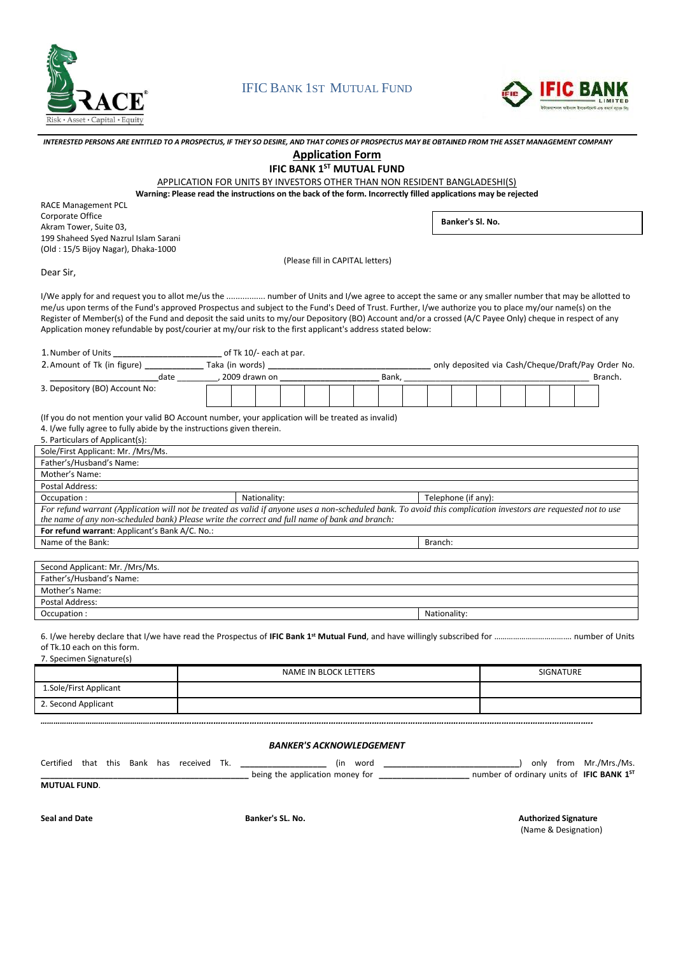

### IFIC BANK 1ST MUTUAL FUND



|                                                                                                                                                                 | INTERESTED PERSONS ARE ENTITLED TO A PROSPECTUS, IF THEY SO DESIRE, AND THAT COPIES OF PROSPECTUS MAY BE OBTAINED FROM THE ASSET MANAGEMENT COMPANY |              |                                  |  |                           |                     |                  |  |           |                                                    |
|-----------------------------------------------------------------------------------------------------------------------------------------------------------------|-----------------------------------------------------------------------------------------------------------------------------------------------------|--------------|----------------------------------|--|---------------------------|---------------------|------------------|--|-----------|----------------------------------------------------|
|                                                                                                                                                                 |                                                                                                                                                     |              | <b>Application Form</b>          |  |                           |                     |                  |  |           |                                                    |
|                                                                                                                                                                 |                                                                                                                                                     |              |                                  |  | IFIC BANK 1ST MUTUAL FUND |                     |                  |  |           |                                                    |
|                                                                                                                                                                 |                                                                                                                                                     |              |                                  |  |                           |                     |                  |  |           |                                                    |
|                                                                                                                                                                 | APPLICATION FOR UNITS BY INVESTORS OTHER THAN NON RESIDENT BANGLADESHI(S)                                                                           |              |                                  |  |                           |                     |                  |  |           |                                                    |
| Warning: Please read the instructions on the back of the form. Incorrectly filled applications may be rejected                                                  |                                                                                                                                                     |              |                                  |  |                           |                     |                  |  |           |                                                    |
| <b>RACE Management PCL</b>                                                                                                                                      |                                                                                                                                                     |              |                                  |  |                           |                     |                  |  |           |                                                    |
| Corporate Office                                                                                                                                                |                                                                                                                                                     |              |                                  |  |                           |                     | Banker's Sl. No. |  |           |                                                    |
| Akram Tower, Suite 03,                                                                                                                                          |                                                                                                                                                     |              |                                  |  |                           |                     |                  |  |           |                                                    |
| 199 Shaheed Syed Nazrul Islam Sarani                                                                                                                            |                                                                                                                                                     |              |                                  |  |                           |                     |                  |  |           |                                                    |
| (Old: 15/5 Bijoy Nagar), Dhaka-1000                                                                                                                             |                                                                                                                                                     |              |                                  |  |                           |                     |                  |  |           |                                                    |
|                                                                                                                                                                 |                                                                                                                                                     |              | (Please fill in CAPITAL letters) |  |                           |                     |                  |  |           |                                                    |
| Dear Sir,                                                                                                                                                       |                                                                                                                                                     |              |                                  |  |                           |                     |                  |  |           |                                                    |
|                                                                                                                                                                 |                                                                                                                                                     |              |                                  |  |                           |                     |                  |  |           |                                                    |
| I/We apply for and request you to allot me/us the  number of Units and I/we agree to accept the same or any smaller number that may be allotted to              |                                                                                                                                                     |              |                                  |  |                           |                     |                  |  |           |                                                    |
| me/us upon terms of the Fund's approved Prospectus and subject to the Fund's Deed of Trust. Further, I/we authorize you to place my/our name(s) on the          |                                                                                                                                                     |              |                                  |  |                           |                     |                  |  |           |                                                    |
| Register of Member(s) of the Fund and deposit the said units to my/our Depository (BO) Account and/or a crossed (A/C Payee Only) cheque in respect of any       |                                                                                                                                                     |              |                                  |  |                           |                     |                  |  |           |                                                    |
| Application money refundable by post/courier at my/our risk to the first applicant's address stated below:                                                      |                                                                                                                                                     |              |                                  |  |                           |                     |                  |  |           |                                                    |
|                                                                                                                                                                 |                                                                                                                                                     |              |                                  |  |                           |                     |                  |  |           |                                                    |
| 1. Number of Units _________________________________ of Tk 10/- each at par.<br>2. Amount of Tk (in figure) ______________ Taka (in words) _____________        |                                                                                                                                                     |              |                                  |  |                           |                     |                  |  |           |                                                    |
|                                                                                                                                                                 |                                                                                                                                                     |              |                                  |  |                           |                     |                  |  |           | only deposited via Cash/Cheque/Draft/Pay Order No. |
| _______________________date _____________, 2009 drawn on _____                                                                                                  |                                                                                                                                                     |              |                                  |  | Bank,                     |                     |                  |  |           | Branch.                                            |
| 3. Depository (BO) Account No:                                                                                                                                  |                                                                                                                                                     |              |                                  |  |                           |                     |                  |  |           |                                                    |
|                                                                                                                                                                 |                                                                                                                                                     |              |                                  |  |                           |                     |                  |  |           |                                                    |
| (If you do not mention your valid BO Account number, your application will be treated as invalid)                                                               |                                                                                                                                                     |              |                                  |  |                           |                     |                  |  |           |                                                    |
| 4. I/we fully agree to fully abide by the instructions given therein.                                                                                           |                                                                                                                                                     |              |                                  |  |                           |                     |                  |  |           |                                                    |
| 5. Particulars of Applicant(s):                                                                                                                                 |                                                                                                                                                     |              |                                  |  |                           |                     |                  |  |           |                                                    |
| Sole/First Applicant: Mr. /Mrs/Ms.                                                                                                                              |                                                                                                                                                     |              |                                  |  |                           |                     |                  |  |           |                                                    |
| Father's/Husband's Name:                                                                                                                                        |                                                                                                                                                     |              |                                  |  |                           |                     |                  |  |           |                                                    |
| Mother's Name:                                                                                                                                                  |                                                                                                                                                     |              |                                  |  |                           |                     |                  |  |           |                                                    |
| Postal Address:                                                                                                                                                 |                                                                                                                                                     |              |                                  |  |                           |                     |                  |  |           |                                                    |
| Occupation:                                                                                                                                                     |                                                                                                                                                     | Nationality: |                                  |  |                           | Telephone (if any): |                  |  |           |                                                    |
| For refund warrant (Application will not be treated as valid if anyone uses a non-scheduled bank. To avoid this complication investors are requested not to use |                                                                                                                                                     |              |                                  |  |                           |                     |                  |  |           |                                                    |
| the name of any non-scheduled bank) Please write the correct and full name of bank and branch:                                                                  |                                                                                                                                                     |              |                                  |  |                           |                     |                  |  |           |                                                    |
| For refund warrant: Applicant's Bank A/C. No.:                                                                                                                  |                                                                                                                                                     |              |                                  |  |                           |                     |                  |  |           |                                                    |
| Name of the Bank:                                                                                                                                               |                                                                                                                                                     |              |                                  |  |                           | Branch:             |                  |  |           |                                                    |
|                                                                                                                                                                 |                                                                                                                                                     |              |                                  |  |                           |                     |                  |  |           |                                                    |
| Second Applicant: Mr. /Mrs/Ms.                                                                                                                                  |                                                                                                                                                     |              |                                  |  |                           |                     |                  |  |           |                                                    |
| Father's/Husband's Name:                                                                                                                                        |                                                                                                                                                     |              |                                  |  |                           |                     |                  |  |           |                                                    |
| Mother's Name:                                                                                                                                                  |                                                                                                                                                     |              |                                  |  |                           |                     |                  |  |           |                                                    |
| Postal Address:                                                                                                                                                 |                                                                                                                                                     |              |                                  |  |                           |                     |                  |  |           |                                                    |
|                                                                                                                                                                 |                                                                                                                                                     |              |                                  |  |                           | Nationality:        |                  |  |           |                                                    |
|                                                                                                                                                                 |                                                                                                                                                     |              |                                  |  |                           |                     |                  |  |           |                                                    |
| Occupation:                                                                                                                                                     |                                                                                                                                                     |              |                                  |  |                           |                     |                  |  |           |                                                    |
|                                                                                                                                                                 |                                                                                                                                                     |              |                                  |  |                           |                     |                  |  |           |                                                    |
|                                                                                                                                                                 |                                                                                                                                                     |              |                                  |  |                           |                     |                  |  |           |                                                    |
| of Tk.10 each on this form.                                                                                                                                     |                                                                                                                                                     |              |                                  |  |                           |                     |                  |  |           |                                                    |
| 7. Specimen Signature(s)                                                                                                                                        |                                                                                                                                                     |              |                                  |  |                           |                     |                  |  |           |                                                    |
|                                                                                                                                                                 |                                                                                                                                                     |              | NAME IN BLOCK LETTERS            |  |                           |                     |                  |  | SIGNATURE |                                                    |
| 1.Sole/First Applicant                                                                                                                                          |                                                                                                                                                     |              |                                  |  |                           |                     |                  |  |           |                                                    |
| 2. Second Applicant                                                                                                                                             |                                                                                                                                                     |              |                                  |  |                           |                     |                  |  |           |                                                    |

#### *BANKER'S ACKNOWLEDGEMENT*

| Certified that this Bank has received Tk. |  | word<br>(in                     |                                                       | only from Mr./Mrs./Ms. |
|-------------------------------------------|--|---------------------------------|-------------------------------------------------------|------------------------|
|                                           |  | being the application money for | number of ordinary units of IFIC BANK 1 <sup>ST</sup> |                        |

**MUTUAL FUND**.

**Seal and Date Banker's SL. No. Authorized Signature** (Name & Designation)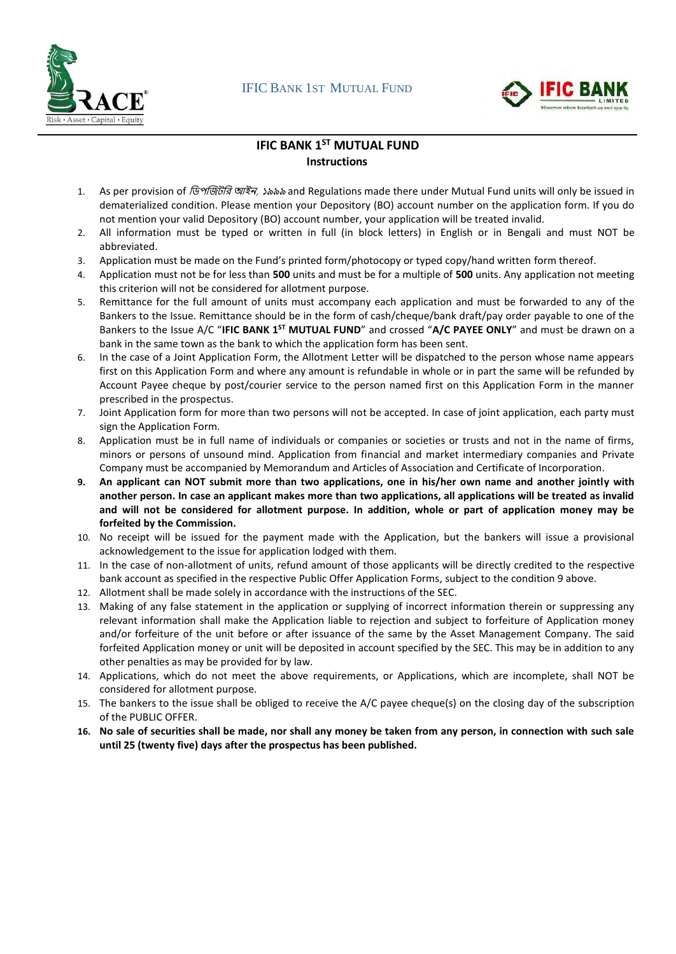



### **IFIC BANK 1 ST MUTUAL FUND Instructions**

- 1. As per provision of *ডিপজিটরি আইন, ১৯৯৯* and Regulations made there under Mutual Fund units will only be issued in dematerialized condition. Please mention your Depository (BO) account number on the application form. If you do not mention your valid Depository (BO) account number, your application will be treated invalid.
- 2. All information must be typed or written in full (in block letters) in English or in Bengali and must NOT be abbreviated.
- 3. Application must be made on the Fund's printed form/photocopy or typed copy/hand written form thereof.
- 4. Application must not be for less than **500** units and must be for a multiple of **500** units. Any application not meeting this criterion will not be considered for allotment purpose.
- 5. Remittance for the full amount of units must accompany each application and must be forwarded to any of the Bankers to the Issue. Remittance should be in the form of cash/cheque/bank draft/pay order payable to one of the Bankers to the Issue A/C "IFIC BANK 1<sup>ST</sup> MUTUAL FUND" and crossed "A/C PAYEE ONLY" and must be drawn on a bank in the same town as the bank to which the application form has been sent.
- 6. In the case of a Joint Application Form, the Allotment Letter will be dispatched to the person whose name appears first on this Application Form and where any amount is refundable in whole or in part the same will be refunded by Account Payee cheque by post/courier service to the person named first on this Application Form in the manner prescribed in the prospectus.
- 7. Joint Application form for more than two persons will not be accepted. In case of joint application, each party must sign the Application Form.
- 8. Application must be in full name of individuals or companies or societies or trusts and not in the name of firms, minors or persons of unsound mind. Application from financial and market intermediary companies and Private Company must be accompanied by Memorandum and Articles of Association and Certificate of Incorporation.
- **9. An applicant can NOT submit more than two applications, one in his/her own name and another jointly with another person. In case an applicant makes more than two applications, all applications will be treated as invalid and will not be considered for allotment purpose. In addition, whole or part of application money may be forfeited by the Commission.**
- 10. No receipt will be issued for the payment made with the Application, but the bankers will issue a provisional acknowledgement to the issue for application lodged with them.
- 11. In the case of non-allotment of units, refund amount of those applicants will be directly credited to the respective bank account as specified in the respective Public Offer Application Forms, subject to the condition 9 above.
- 12. Allotment shall be made solely in accordance with the instructions of the SEC.
- 13. Making of any false statement in the application or supplying of incorrect information therein or suppressing any relevant information shall make the Application liable to rejection and subject to forfeiture of Application money and/or forfeiture of the unit before or after issuance of the same by the Asset Management Company. The said forfeited Application money or unit will be deposited in account specified by the SEC. This may be in addition to any other penalties as may be provided for by law.
- 14. Applications, which do not meet the above requirements, or Applications, which are incomplete, shall NOT be considered for allotment purpose.
- 15. The bankers to the issue shall be obliged to receive the A/C payee cheque(s) on the closing day of the subscription of the PUBLIC OFFER.
- **16. No sale of securities shall be made, nor shall any money be taken from any person, in connection with such sale until 25 (twenty five) days after the prospectus has been published.**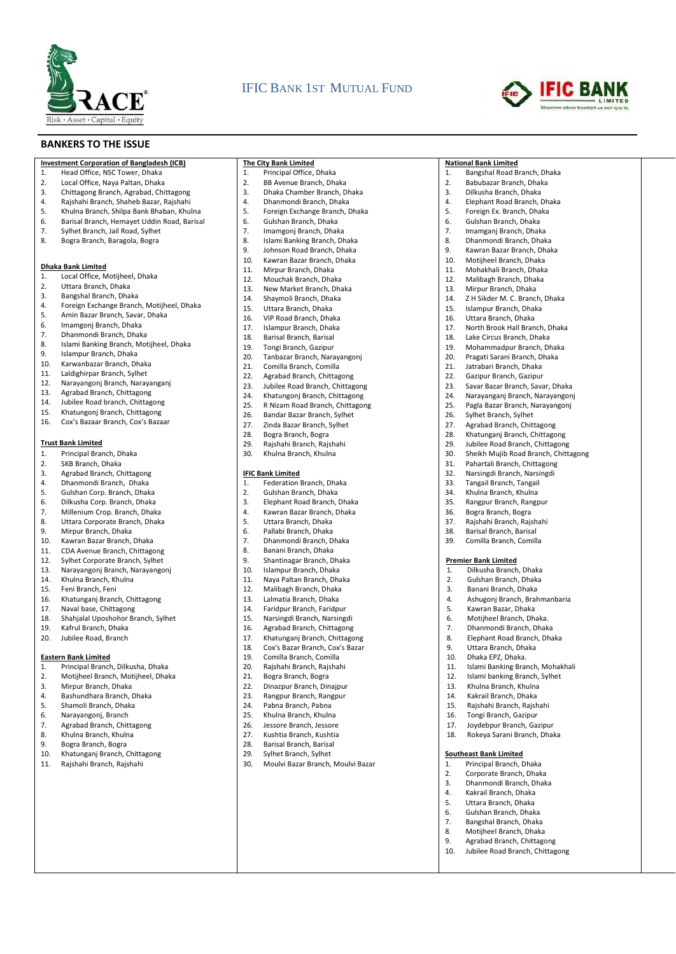

### IFIC BANK 1ST MUTUAL FUND



**National Bank Limited**

1. Bangshal Road Branch, Dhaka 2. Babubazar Branch, Dhaka<br>3. Dilkusha Branch, Dhaka 3. Dilkusha Branch, Dhaka<br>4. Flephant Road Branch J 4. Elephant Road Branch, Dhaka 5. Foreign Ex. Branch, Dhaka 6. Gulshan Branch, Dhaka<br>7 Imamgani Branch, Dhal 7. Imamganj Branch, Dhaka<br>8. Dhanmondi Branch, Dhak 8. Dhanmondi Branch, Dhaka<br>9. Kawran Bazar Branch, Dhak 9. Kawran Bazar Branch, Dhaka<br>10 Motijbeel Branch, Dhaka 10. Motijheel Branch, Dhaka 11. Mohakhali Branch, Dhaka<br>12. Malibagh Branch, Dhaka 12. Malibagh Branch, Dhaka<br>13 Mirnur Branch, Dhaka 13. Mirpur Branch, Dhaka<br>14. Z H Sikder M. C. Branc 14. Z H Sikder M. C. Branch, Dhaka<br>15. Islampur Branch, Dhaka 15. Islampur Branch, Dhaka<br>16. Uttara Branch. Dhaka 16. Uttara Branch, Dhaka<br>17. North Brook Hall Bran 17. North Brook Hall Branch, Dhaka<br>18. Lake Circus Branch, Dhaka 18. Lake Circus Branch, Dhaka<br>19 Mohammadour Branch D 19. Mohammadpur Branch, Dhaka<br>20. Pragati Sarani Branch, Dhaka 20. Pragati Sarani Branch, Dhaka

21. Jatrabari Branch, Dhaka<br>22. Gazinur Branch Gazinur 22. Gazipur Branch, Gazipur 23. Savar Bazar Branch, Savar, Dhaka<br>24 Narayangani Branch, Narayangon 24. Narayanganj Branch, Narayangonj<br>25. Pagla Bazar Branch, Narayangoni 25. Pagla Bazar Branch, Narayangonj

26. Sylhet Branch, Sylhet<br>27 Agrabad Branch, Chit Agrabad Branch, Chittagong 28. Khatunganj Branch, Chittagong<br>29. Lubilee Road Branch, Chittagoni 29. Jubilee Road Branch, Chittagong<br>30. Sheikh Mujib Road Branch, Chitt 30. Sheikh Mujib Road Branch, Chittagong

**Premier Bank Limited** 1. Dilkusha Branch, Dhaka 2. Gulshan Branch, Dhaka 3. Banani Branch, Dhaka<br>4. Ashugoni Branch, Brah

5. Kawran Bazar, Dhaka 6. Motijheel Branch, Dhaka. 7. Dhanmondi Branch, Dhaka<br>8. Elenhant Road Branch, Dha 8. Elephant Road Branch, Dhaka

9. Uttara Branch, Dhaka 10. Dhaka EPZ, Dhaka.

**Southeast Bank Limited** 1. Principal Branch, Dhaka<br>2. Corporate Branch, Dhak 2. Corporate Branch, Dhaka 3. Dhanmondi Branch, Dhaka<br>4. Kakrail Branch, Dhaka 4. Kakrail Branch, Dhaka 5. Uttara Branch, Dhaka<br>6. Gulshan Branch, Dhak 6. Gulshan Branch, Dhaka 7. Bangshal Branch, Dhaka 8. Motijheel Branch, Dhaka<br>9. Marabad Branch, Chittago 9. Agrabad Branch, Chittagong 10. Jubilee Road Branch, Chittagong

31. Pahartali Branch, Chittagong 32. Narsingdi Branch, Narsingdi 33. Tangail Branch, Tangail<br>34. Khulna Branch. Khulna 34. Khulna Branch, Khulna<br>35. Rangpur Branch, Rang 35. Rangpur Branch, Rangpur<br>36. Bogra Branch. Bogra 36. Bogra Branch, Bogra<br>37. Raishahi Branch, Rais 37. Rajshahi Branch, Rajshahi 38. Barisal Branch, Barisal<br>39. Comilla Branch. Comilla Comilla Branch, Comilla

4. Ashugonj Branch, Brahmanbaria

11. Islami Banking Branch, Mohakhali 12. Islami banking Branch, Sylhet 13. Khulna Branch, Khulna 14. Kakrail Branch, Dhaka 15. Rajshahi Branch, Rajshahi<br>16. Tongi Branch, Gazipur 16. Tongi Branch, Gazipur<br>17. Joydebpur Branch, Ga Joydebpur Branch, Gazipur 18. Rokeya Sarani Branch, Dhaka

#### **BANKERS TO THE ISSUE**

|--|

- 1. Head Office, NSC Tower, Dhaka
- 2. Local Office, Naya Paltan, Dhaka<br>3. Chittagong Branch Agrabad Chi
- 3. Chittagong Branch, Agrabad, Chittagong
- 4. Rajshahi Branch, Shaheb Bazar, Rajshahi
- 5. Khulna Branch, Shilpa Bank Bhaban, Khulna
- 6. Barisal Branch, Hemayet Uddin Road, Barisal<br>7. Sylhet Branch, Jail Road, Sylhet
- 7. Sylhet Branch, Jail Road, Sylhet<br>8. Bogra Branch, Baragola, Bogra
- 8. Bogra Branch, Baragola, Bogra

#### **Dhaka Bank Limited**

- 1. Local Office, Motijheel, Dhaka<br>2. Uttara Branch, Dhaka
- 2. Uttara Branch, Dhaka
- 
- 3. Bangshal Branch, Dhaka 4. Foreign Exchange Branch, Motijheel, Dhaka
- 5. Amin Bazar Branch, Savar, Dhaka
- 6. Imamgonj Branch, Dhaka
- 7. Dhanmondi Branch, Dhaka
- 8. Islami Banking Branch, Motijheel, Dhaka
- 9. Islampur Branch, Dhaka<br>10. Karwanbazar Branch, Dh
- 10. Karwanbazar Branch, Dhaka
- 11. Laldighirpar Branch, Sylhet
- 12. Narayangonj Branch, Narayanganj
- 13. Agrabad Branch, Chittagong<br>14. Lubilee Road branch, Chittago
- 14. Jubilee Road branch, Chittagong
- 15. Khatungonj Branch, Chittagong
- 16. Cox's Bazaar Branch, Cox's Bazaar

#### **Trust Bank Limited**

- 1. Principal Branch, Dhaka
- 2. SKB Branch, Dhaka
- 3. Agrabad Branch, Chittagong
- 4. Dhanmondi Branch, Dhaka<br>5. Gulshan Corp. Branch. Dhak
- 
- 5. Gulshan Corp. Branch, Dhaka<br>6. Dilkusha Corp. Branch, Dhaka 6. Dilkusha Corp. Branch, Dhaka
- 7. Millenium Crop. Branch, Dhaka<br>8. Uttara Corporate Branch. Dhak
- Uttara Corporate Branch, Dhaka
- 9. Mirpur Branch, Dhaka<br>10. Kawran Bazar Branch.
- 10. Kawran Bazar Branch, Dhaka<br>11. CDA Avenue Branch, Chittago
- CDA Avenue Branch, Chittagong
- 12. Sylhet Corporate Branch, Sylhet<br>13. Naravangoni Branch, Naravango
- 13. Narayangonj Branch, Narayangonj
- 14. Khulna Branch, Khulna
- 15. Feni Branch, Feni<br>16. Khatungani Branc
- 16. Khatunganj Branch, Chittagong
- 17. Naval base, Chittagong
- 18. Shahjalal Uposhohor Branch, Sylhet
- 19. Kafrul Branch, Dhaka<br>20. Lubilee Road, Branch
- Jubilee Road, Branch

#### **Eastern Bank Limited**

- 1. Principal Branch, Dilkusha, Dhaka
- 2. Motijheel Branch, Motijheel, Dhaka
- 3. Mirpur Branch, Dhaka
- 4. Bashundhara Branch, Dhaka
- 5. Shamoli Branch, Dhaka<br>6. Narayangoni, Branch
- 6. Narayangonj, Branch<br>7. Agrabad Branch, Chit
- Agrabad Branch, Chittagong
- 8. Khulna Branch, Khulna<br>9. Bogra Branch, Bogra
- 9. Bogra Branch, Bogra
- 
- 10. Khatunganj Branch, Chittagong<br>11. Raishahi Branch, Raishahi Rajshahi Branch, Rajshahi

#### **The City Bank Limited**

- 1. Principal Office, Dhaka
- 2. BB Avenue Branch, Dhaka<br>3. Dhaka Chamber Branch D
- 3. Dhaka Chamber Branch, Dhaka<br>4. Dhanmondi Branch, Dhaka 4. Dhanmondi Branch, Dhaka
- 
- 5. Foreign Exchange Branch, Dhaka
- 6. Gulshan Branch, Dhaka<br>7 Imamgoni Branch, Dhal
- 7. Imamgonj Branch, Dhaka<br>8. Lislami Banking Branch, D. 8. Islami Banking Branch, Dhaka
- 
- 9. Johnson Road Branch, Dhaka<br>10 Kawran Bazar Branch, Dhaka 10. Kawran Bazar Branch, Dhaka
- 
- 11. Mirpur Branch, Dhaka<br>12. Mouchak Branch, Dhal
- 12. Mouchak Branch, Dhaka<br>13. New Market Branch, Dha
- 13. New Market Branch, Dhaka<br>14. Shavmoli Branch. Dhaka
- 14. Shaymoli Branch, Dhaka<br>15. Uttara Branch, Dhaka
- 15. Uttara Branch, Dhaka<br>16. VIP Road Branch, Dha
- 16. VIP Road Branch, Dhaka<br>17. Islampur Branch, Dhaka
- 17. Islampur Branch, Dhaka<br>18. Barisal Branch, Barisal
- 18. Barisal Branch, Barisal<br>19. Tongi Branch. Gazinur
- 19. Tongi Branch, Gazipur<br>20. Tanbazar Branch, Nara 20. Tanbazar Branch, Narayangonj
- 
- 21. Comilla Branch, Comilla<br>22. Agrabad Branch, Chittag
- 22. Agrabad Branch, Chittagong<br>23. Lubilee Boad Branch, Chittag
- 23. Jubilee Road Branch, Chittagong<br>24. Khatungoni Branch, Chittagong
- 24. Khatungonj Branch, Chittagong<br>25. R Nizam Road Branch, Chittago 25. R Nizam Road Branch, Chittagong
- 
- 26. Bandar Bazar Branch, Sylhet<br>27 Zinda Bazar Branch, Sylhet 27. Zinda Bazar Branch, Sylhet
- 28. Bogra Branch, Bogra<br>29 Raishahi Branch, Rais
- 29. Rajshahi Branch, Rajshahi<br>30. Khulna Branch, Khulna
- Khulna Branch, Khulna

#### **IFIC Bank Limited**

- 1. Federation Branch, Dhaka<br>2. Gulshan Branch, Dhaka
- 2. Gulshan Branch, Dhaka<br>3. Elephant Road Branch,
- 3. Elephant Road Branch, Dhaka<br>4. Kawran Bazar Branch. Dhaka

8. Banani Branch, Dhaka 9. Shantinagar Branch, Dhaka<br>10. Islampur Branch, Dhaka 10. Islampur Branch, Dhaka 11. Naya Paltan Branch, Dhaka 12. Malibagh Branch, Dhaka<br>13. Lalmatia Branch, Dhaka 13. Lalmatia Branch, Dhaka 14. Faridpur Branch, Faridpur 15. Narsingdi Branch, Narsingdi 16. Agrabad Branch, Chittagong<br>17 Khatungani Branch Chittago 17. Khatunganj Branch, Chittagong 18. Cox's Bazar Branch, Cox's Bazar 19. Comilla Branch, Comilla<br>20. Raishabi Branch, Baisha 20. Rajshahi Branch, Rajshahi 21. Bogra Branch, Bogra 22. Dinazpur Branch, Dinajpur 23. Rangpur Branch, Rangpur 24. Pabna Branch, Pabna<br>25. Khulna Branch, Khuln 25. Khulna Branch, Khulna<br>26. Jessore Branch, Jessor Jessore Branch, Jessore 27. Kushtia Branch, Kushtia<br>28. Barisal Branch, Barisal 28. Barisal Branch, Barisal<br>29 Sylhet Branch Sylhet 29. Sylhet Branch, Sylhet<br>30. Moulvi Bazar Branch.

30. Moulvi Bazar Branch, Moulvi Bazar

- 4. Kawran Bazar Branch, Dhaka<br>5. Uttara Branch, Dhaka
- 5. Uttara Branch, Dhaka
- 6. Pallabi Branch, Dhaka<br>7. Dhanmondi Branch. D 7. Dhanmondi Branch, Dhaka<br>8. Banani Branch, Dhaka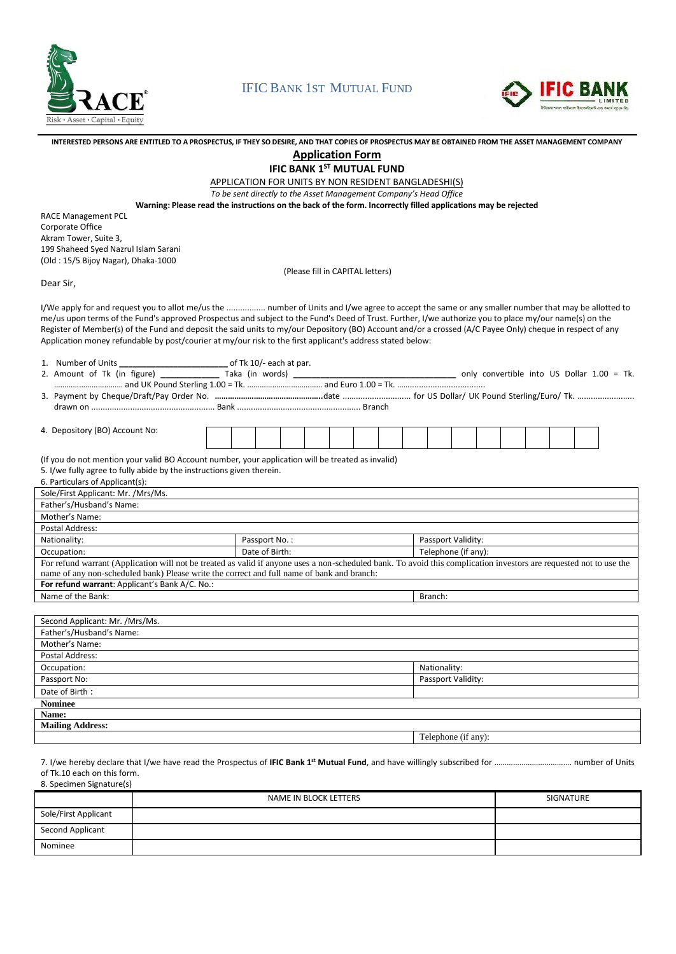

### IFIC BANK 1ST MUTUAL FUND



| INTERESTED PERSONS ARE ENTITLED TO A PROSPECTUS. IF THEY SO DESIRE. AND THAT COPIES OF PROSPECTUS MAY BE OBTAINED FROM THE ASSET MANAGEMENT COMPANY |
|-----------------------------------------------------------------------------------------------------------------------------------------------------|
|-----------------------------------------------------------------------------------------------------------------------------------------------------|

**Application Form**

**IFIC BANK 1 ST MUTUAL FUND**

APPLICATION FOR UNITS BY NON RESIDENT BANGLADESHI(S)

*To be sent directly to the Asset Management Company's Head Office*

**Warning: Please read the instructions on the back of the form. Incorrectly filled applications may be rejected**

RACE Management PCL Corporate Office Akram Tower, Suite 3, 199 Shaheed Syed Nazrul Islam Sarani (Old : 15/5 Bijoy Nagar), Dhaka-1000

4. Depository (BO) Account No:

(Please fill in CAPITAL letters)

Dear Sir,

I/We apply for and request you to allot me/us the ................. number of Units and I/we agree to accept the same or any smaller number that may be allotted to me/us upon terms of the Fund's approved Prospectus and subject to the Fund's Deed of Trust. Further, I/we authorize you to place my/our name(s) on the Register of Member(s) of the Fund and deposit the said units to my/our Depository (BO) Account and/or a crossed (A/C Payee Only) cheque in respect of any Application money refundable by post/courier at my/our risk to the first applicant's address stated below:

| 1. Number of Units                                   | of Tk 10/- each at par.      |
|------------------------------------------------------|------------------------------|
| $2 - \lambda$ accurate of $\tau$ be finding $\Gamma$ | $T = 1.2$ $(1.2 \times 1.2)$ |

2. Amount of Tk (in figure) **\_\_\_\_\_\_\_\_\_\_\_\_\_** Taka (in words) **\_\_\_\_\_\_\_\_\_\_\_\_\_\_\_\_\_\_\_\_\_\_\_\_\_\_\_\_\_\_\_\_\_\_\_\_** only convertible into US Dollar 1.00 = Tk. …………………………… and UK Pound Sterling 1.00 = Tk. ……………………………… and Euro 1.00 = Tk. …….................................

3. Payment by Cheque/Draft/Pay Order No. ……………………………………………date …………………………… for US Dollar/ UK Pound Sterling/Euro/ Tk. ……………………… drawn on ...................................................... Bank ...................................................... Branch

(If you do not mention your valid BO Account number, your application will be treated as invalid)

5. I/we fully agree to fully abide by the instructions given therein.

| 6. Particulars of Applicant(s):                |                                                                                            |                                                                                                                                                                     |
|------------------------------------------------|--------------------------------------------------------------------------------------------|---------------------------------------------------------------------------------------------------------------------------------------------------------------------|
| Sole/First Applicant: Mr. /Mrs/Ms.             |                                                                                            |                                                                                                                                                                     |
| Father's/Husband's Name:                       |                                                                                            |                                                                                                                                                                     |
| Mother's Name:                                 |                                                                                            |                                                                                                                                                                     |
| Postal Address:                                |                                                                                            |                                                                                                                                                                     |
| Nationality:                                   | Passport No.:                                                                              | Passport Validity:                                                                                                                                                  |
| Occupation:                                    | Date of Birth:                                                                             | Telephone (if any):                                                                                                                                                 |
| For refund warrant: Applicant's Bank A/C. No.: | name of any non-scheduled bank) Please write the correct and full name of bank and branch: | For refund warrant (Application will not be treated as valid if anyone uses a non-scheduled bank. To avoid this complication investors are requested not to use the |
| Name of the Bank:                              |                                                                                            | Branch:                                                                                                                                                             |
|                                                |                                                                                            |                                                                                                                                                                     |
| Second Applicant: Mr. /Mrs/Ms.                 |                                                                                            |                                                                                                                                                                     |
| Father's/Husband's Name:                       |                                                                                            |                                                                                                                                                                     |
| Mother's Name:                                 |                                                                                            |                                                                                                                                                                     |
| Doctal Address                                 |                                                                                            |                                                                                                                                                                     |

| i Ustai Auurcss.        |                    |
|-------------------------|--------------------|
| Occupation:             | Nationality:       |
| Passport No:            | Passport Validity: |
| Date of Birth:          |                    |
| <b>Nominee</b>          |                    |
| Name:                   |                    |
| <b>Mailing Address:</b> |                    |

Telephone (if any):

7. I/we hereby declare that I/we have read the Prospectus of **IFIC Bank 1 st Mutual Fund**, and have willingly subscribed for ………………………………. number of Units of Tk.10 each on this form. 8. Specimen Signature(s)

|                      | NAME IN BLOCK LETTERS | SIGNATURE |
|----------------------|-----------------------|-----------|
| Sole/First Applicant |                       |           |
| Second Applicant     |                       |           |
| Nominee              |                       |           |